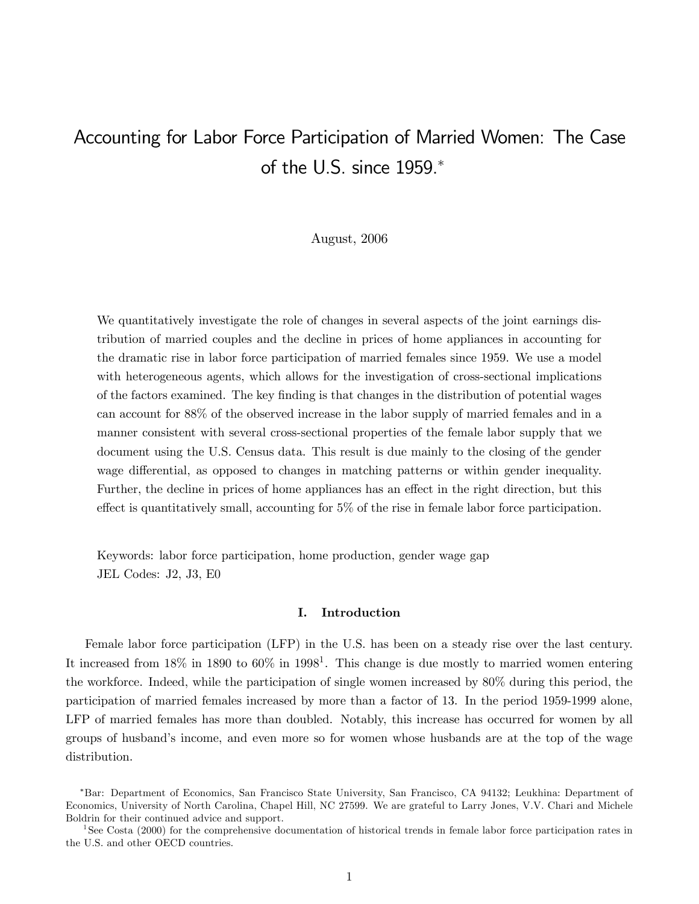# Accounting for Labor Force Participation of Married Women: The Case of the U.S. since 1959.<sup>∗</sup>

# August, 2006

We quantitatively investigate the role of changes in several aspects of the joint earnings distribution of married couples and the decline in prices of home appliances in accounting for the dramatic rise in labor force participation of married females since 1959. We use a model with heterogeneous agents, which allows for the investigation of cross-sectional implications of the factors examined. The key finding is that changes in the distribution of potential wages can account for 88% of the observed increase in the labor supply of married females and in a manner consistent with several cross-sectional properties of the female labor supply that we document using the U.S. Census data. This result is due mainly to the closing of the gender wage differential, as opposed to changes in matching patterns or within gender inequality. Further, the decline in prices of home appliances has an effect in the right direction, but this effect is quantitatively small, accounting for 5% of the rise in female labor force participation.

Keywords: labor force participation, home production, gender wage gap JEL Codes: J2, J3, E0

# I. Introduction

Female labor force participation (LFP) in the U.S. has been on a steady rise over the last century. It increased from  $18\%$  in  $1890$  to  $60\%$  in  $1998<sup>1</sup>$ . This change is due mostly to married women entering the workforce. Indeed, while the participation of single women increased by 80% during this period, the participation of married females increased by more than a factor of 13. In the period 1959-1999 alone, LFP of married females has more than doubled. Notably, this increase has occurred for women by all groups of husband's income, and even more so for women whose husbands are at the top of the wage distribution.

<sup>∗</sup>Bar: Department of Economics, San Francisco State University, San Francisco, CA 94132; Leukhina: Department of Economics, University of North Carolina, Chapel Hill, NC 27599. We are grateful to Larry Jones, V.V. Chari and Michele Boldrin for their continued advice and support.

<sup>&</sup>lt;sup>1</sup>See Costa (2000) for the comprehensive documentation of historical trends in female labor force participation rates in the U.S. and other OECD countries.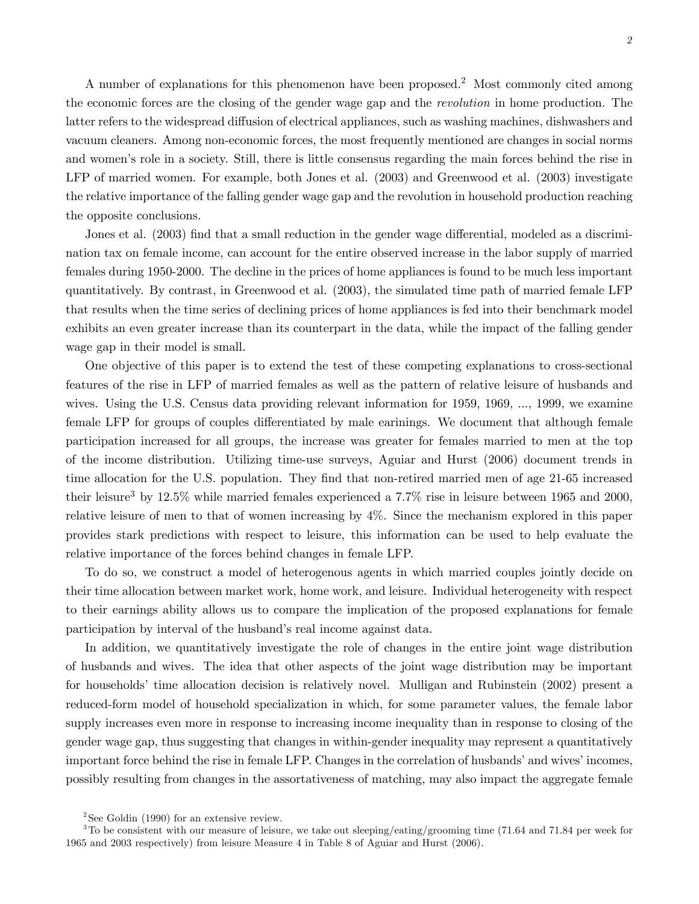A number of explanations for this phenomenon have been proposed.<sup>2</sup> Most commonly cited among the economic forces are the closing of the gender wage gap and the revolution in home production. The latter refers to the widespread diffusion of electrical appliances, such as washing machines, dishwashers and vacuum cleaners. Among non-economic forces, the most frequently mentioned are changes in social norms and women's role in a society. Still, there is little consensus regarding the main forces behind the rise in LFP of married women. For example, both Jones et al. (2003) and Greenwood et al. (2003) investigate the relative importance of the falling gender wage gap and the revolution in household production reaching the opposite conclusions.

Jones et al. (2003) find that a small reduction in the gender wage differential, modeled as a discrimination tax on female income, can account for the entire observed increase in the labor supply of married females during 1950-2000. The decline in the prices of home appliances is found to be much less important quantitatively. By contrast, in Greenwood et al. (2003), the simulated time path of married female LFP that results when the time series of declining prices of home appliances is fed into their benchmark model exhibits an even greater increase than its counterpart in the data, while the impact of the falling gender wage gap in their model is small.

One objective of this paper is to extend the test of these competing explanations to cross-sectional features of the rise in LFP of married females as well as the pattern of relative leisure of husbands and wives. Using the U.S. Census data providing relevant information for 1959, 1969, ..., 1999, we examine female LFP for groups of couples differentiated by male earinings. We document that although female participation increased for all groups, the increase was greater for females married to men at the top of the income distribution. Utilizing time-use surveys, Aguiar and Hurst (2006) document trends in time allocation for the U.S. population. They find that non-retired married men of age 21-65 increased their leisure<sup>3</sup> by 12.5% while married females experienced a 7.7% rise in leisure between 1965 and 2000, relative leisure of men to that of women increasing by 4%. Since the mechanism explored in this paper provides stark predictions with respect to leisure, this information can be used to help evaluate the relative importance of the forces behind changes in female LFP.

To do so, we construct a model of heterogenous agents in which married couples jointly decide on their time allocation between market work, home work, and leisure. Individual heterogeneity with respect to their earnings ability allows us to compare the implication of the proposed explanations for female participation by interval of the husband's real income against data.

In addition, we quantitatively investigate the role of changes in the entire joint wage distribution of husbands and wives. The idea that other aspects of the joint wage distribution may be important for households' time allocation decision is relatively novel. Mulligan and Rubinstein (2002) present a reduced-form model of household specialization in which, for some parameter values, the female labor supply increases even more in response to increasing income inequality than in response to closing of the gender wage gap, thus suggesting that changes in within-gender inequality may represent a quantitatively important force behind the rise in female LFP. Changes in the correlation of husbands' and wives' incomes, possibly resulting from changes in the assortativeness of matching, may also impact the aggregate female

 $2$ See Goldin (1990) for an extensive review.

<sup>&</sup>lt;sup>3</sup>To be consistent with our measure of leisure, we take out sleeping/eating/grooming time (71.64 and 71.84 per week for 1965 and 2003 respectively) from leisure Measure 4 in Table 8 of Aguiar and Hurst (2006).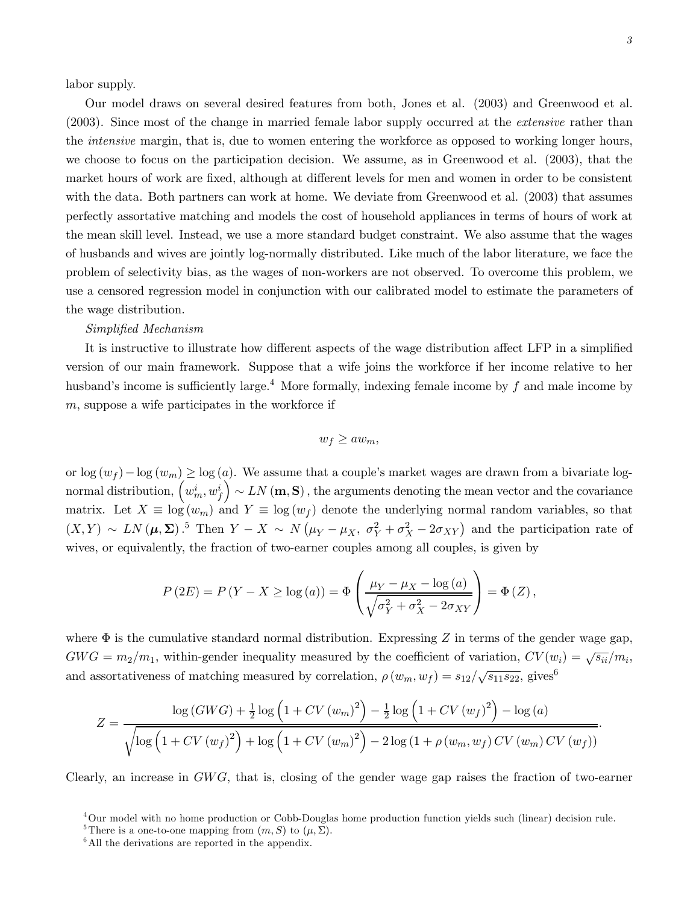labor supply.

Our model draws on several desired features from both, Jones et al. (2003) and Greenwood et al. (2003). Since most of the change in married female labor supply occurred at the extensive rather than the intensive margin, that is, due to women entering the workforce as opposed to working longer hours, we choose to focus on the participation decision. We assume, as in Greenwood et al. (2003), that the market hours of work are fixed, although at different levels for men and women in order to be consistent with the data. Both partners can work at home. We deviate from Greenwood et al. (2003) that assumes perfectly assortative matching and models the cost of household appliances in terms of hours of work at the mean skill level. Instead, we use a more standard budget constraint. We also assume that the wages of husbands and wives are jointly log-normally distributed. Like much of the labor literature, we face the problem of selectivity bias, as the wages of non-workers are not observed. To overcome this problem, we use a censored regression model in conjunction with our calibrated model to estimate the parameters of the wage distribution.

#### Simplified Mechanism

It is instructive to illustrate how different aspects of the wage distribution affect LFP in a simplified version of our main framework. Suppose that a wife joins the workforce if her income relative to her husband's income is sufficiently large.<sup>4</sup> More formally, indexing female income by  $f$  and male income by  $m$ , suppose a wife participates in the workforce if

$$
w_f \ge aw_m,
$$

or  $\log(w_f) - \log(w_m) \geq \log(a)$ . We assume that a couple's market wages are drawn from a bivariate lognormal distribution,  $\left(w_m^i, w_f^i\right)$  $\sum_{i=1}^{n} \mathcal{L}_{i}(\mathbf{m}, \mathbf{S}),$  the arguments denoting the mean vector and the covariance matrix. Let  $X \equiv \log(w_m)$  and  $Y \equiv \log(w_f)$  denote the underlying normal random variables, so that  $(X,Y) \sim LN(\mu, \Sigma)$ .<sup>5</sup> Then  $Y - X \sim N(\mu_Y - \mu_X, \sigma_Y^2 + \sigma_X^2 - 2\sigma_{XY})$  and the participation rate of wives, or equivalently, the fraction of two-earner couples among all couples, is given by

$$
P(2E) = P(Y - X \ge \log(a)) = \Phi\left(\frac{\mu_Y - \mu_X - \log(a)}{\sqrt{\sigma_Y^2 + \sigma_X^2 - 2\sigma_{XY}}}\right) = \Phi(Z),
$$

where  $\Phi$  is the cumulative standard normal distribution. Expressing Z in terms of the gender wage gap,  $GWG = m_2/m_1$ , within-gender inequality measured by the coefficient of variation,  $CV(w_i) = \sqrt{s_{ii}}/m_i$ , and assortativeness of matching measured by correlation,  $\rho(w_m, w_f) = s_{12}/\sqrt{s_{11}s_{22}}$ , gives<sup>6</sup>

$$
Z = \frac{\log (GWG) + \frac{1}{2} \log (1 + CV(w_m)^2) - \frac{1}{2} \log (1 + CV(w_f)^2) - \log (a)}{\sqrt{\log (1 + CV(w_f)^2) + \log (1 + CV(w_m)^2) - 2 \log (1 + \rho (w_m, w_f) CV(w_m)CV(w_f))}}.
$$

Clearly, an increase in  $GWG$ , that is, closing of the gender wage gap raises the fraction of two-earner

<sup>4</sup>Our model with no home production or Cobb-Douglas home production function yields such (linear) decision rule.

<sup>&</sup>lt;sup>5</sup>There is a one-to-one mapping from  $(m, S)$  to  $(\mu, \Sigma)$ .

 $6$ All the derivations are reported in the appendix.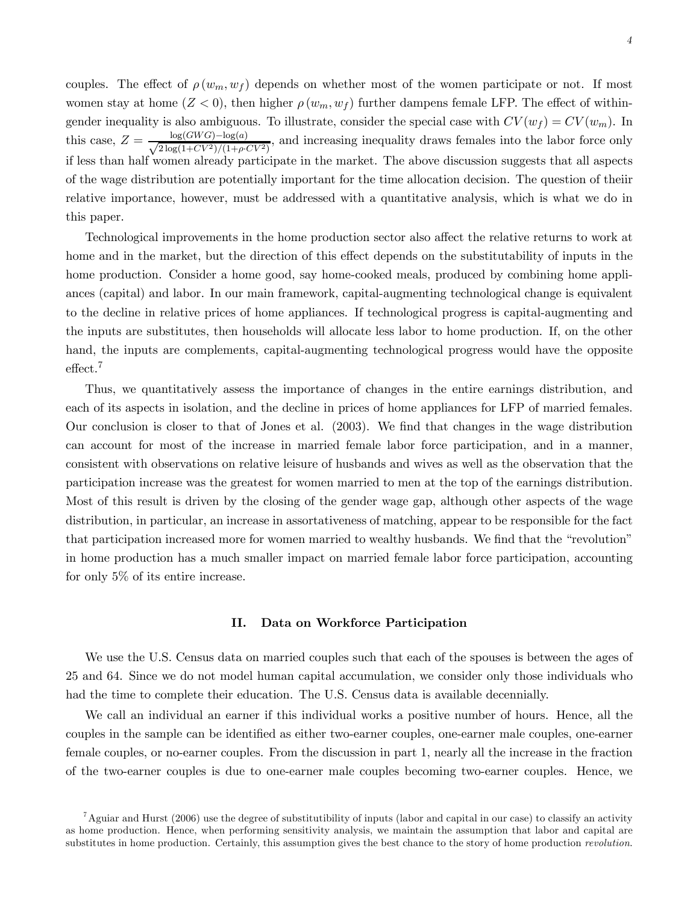couples. The effect of  $\rho(w_m, w_f)$  depends on whether most of the women participate or not. If most women stay at home  $(Z < 0)$ , then higher  $\rho(w_m, w_f)$  further dampens female LFP. The effect of withingender inequality is also ambiguous. To illustrate, consider the special case with  $CV(w_f) = CV(w_m)$ . In this case,  $Z = \frac{\log(GWG) - \log(a)}{\sqrt{2\log(1+CV^2)/(1+a)}}$  $\frac{\log(GW\ G)-\log(a)}{2\log(1+CV^2)/(1+\rho\cdot CV^2)}$ , and increasing inequality draws females into the labor force only if less than half women already participate in the market. The above discussion suggests that all aspects of the wage distribution are potentially important for the time allocation decision. The question of theiir relative importance, however, must be addressed with a quantitative analysis, which is what we do in this paper.

Technological improvements in the home production sector also affect the relative returns to work at home and in the market, but the direction of this effect depends on the substitutability of inputs in the home production. Consider a home good, say home-cooked meals, produced by combining home appliances (capital) and labor. In our main framework, capital-augmenting technological change is equivalent to the decline in relative prices of home appliances. If technological progress is capital-augmenting and the inputs are substitutes, then households will allocate less labor to home production. If, on the other hand, the inputs are complements, capital-augmenting technological progress would have the opposite effect.<sup>7</sup>

Thus, we quantitatively assess the importance of changes in the entire earnings distribution, and each of its aspects in isolation, and the decline in prices of home appliances for LFP of married females. Our conclusion is closer to that of Jones et al. (2003). We find that changes in the wage distribution can account for most of the increase in married female labor force participation, and in a manner, consistent with observations on relative leisure of husbands and wives as well as the observation that the participation increase was the greatest for women married to men at the top of the earnings distribution. Most of this result is driven by the closing of the gender wage gap, although other aspects of the wage distribution, in particular, an increase in assortativeness of matching, appear to be responsible for the fact that participation increased more for women married to wealthy husbands. We find that the "revolution" in home production has a much smaller impact on married female labor force participation, accounting for only 5% of its entire increase.

#### II. Data on Workforce Participation

We use the U.S. Census data on married couples such that each of the spouses is between the ages of 25 and 64. Since we do not model human capital accumulation, we consider only those individuals who had the time to complete their education. The U.S. Census data is available decennially.

We call an individual an earner if this individual works a positive number of hours. Hence, all the couples in the sample can be identified as either two-earner couples, one-earner male couples, one-earner female couples, or no-earner couples. From the discussion in part 1, nearly all the increase in the fraction of the two-earner couples is due to one-earner male couples becoming two-earner couples. Hence, we

 $^7$ Aguiar and Hurst (2006) use the degree of substitutibility of inputs (labor and capital in our case) to classify an activity as home production. Hence, when performing sensitivity analysis, we maintain the assumption that labor and capital are substitutes in home production. Certainly, this assumption gives the best chance to the story of home production revolution.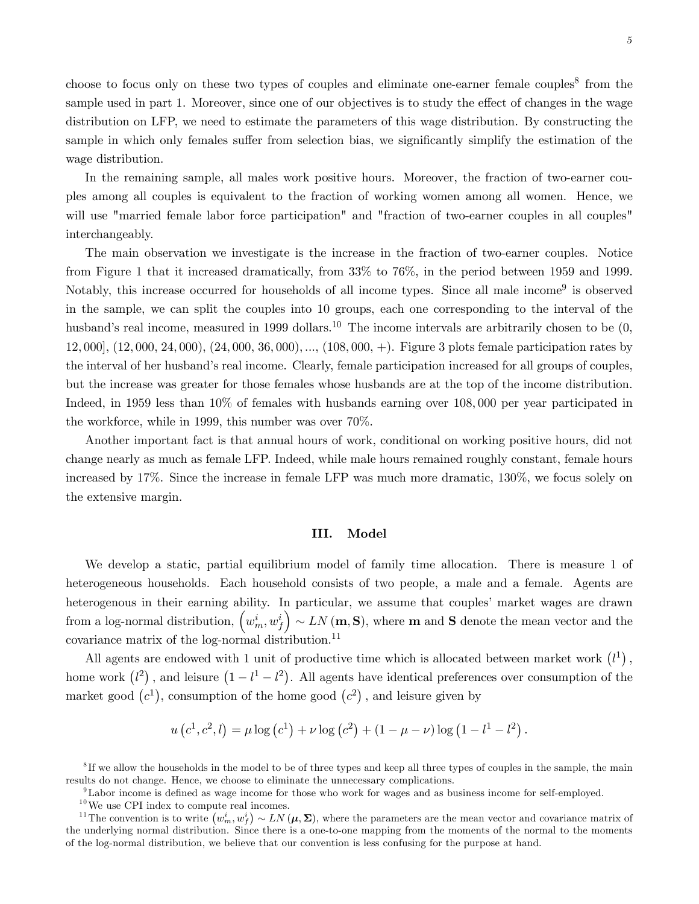choose to focus only on these two types of couples and eliminate one-earner female couples<sup>8</sup> from the sample used in part 1. Moreover, since one of our objectives is to study the effect of changes in the wage distribution on LFP, we need to estimate the parameters of this wage distribution. By constructing the sample in which only females suffer from selection bias, we significantly simplify the estimation of the wage distribution.

In the remaining sample, all males work positive hours. Moreover, the fraction of two-earner couples among all couples is equivalent to the fraction of working women among all women. Hence, we will use "married female labor force participation" and "fraction of two-earner couples in all couples" interchangeably.

The main observation we investigate is the increase in the fraction of two-earner couples. Notice from Figure 1 that it increased dramatically, from 33% to 76%, in the period between 1959 and 1999. Notably, this increase occurred for households of all income types. Since all male income<sup>9</sup> is observed in the sample, we can split the couples into 10 groups, each one corresponding to the interval of the husband's real income, measured in 1999 dollars.<sup>10</sup> The income intervals are arbitrarily chosen to be  $(0, 0)$ 12, 000], (12, 000, 24, 000), (24, 000, 36, 000), ..., (108, 000, +). Figure 3 plots female participation rates by the interval of her husband's real income. Clearly, female participation increased for all groups of couples, but the increase was greater for those females whose husbands are at the top of the income distribution. Indeed, in 1959 less than 10% of females with husbands earning over 108, 000 per year participated in the workforce, while in 1999, this number was over 70%.

Another important fact is that annual hours of work, conditional on working positive hours, did not change nearly as much as female LFP. Indeed, while male hours remained roughly constant, female hours increased by 17%. Since the increase in female LFP was much more dramatic, 130%, we focus solely on the extensive margin.

## III. Model

We develop a static, partial equilibrium model of family time allocation. There is measure 1 of heterogeneous households. Each household consists of two people, a male and a female. Agents are heterogenous in their earning ability. In particular, we assume that couples' market wages are drawn from a log-normal distribution,  $\left(w_m^i, w_f^i\right)$  $\left( \rho \sim LN\left( \mathbf{m},\mathbf{S}\right), \text{ where $\mathbf{m}$ and $\mathbf{S}$ denote the mean vector and the } \right)$ covariance matrix of the log-normal distribution. $^{11}$ 

All agents are endowed with 1 unit of productive time which is allocated between market work  $(l<sup>1</sup>)$ , home work  $(l^2)$ , and leisure  $(1 - l^1 - l^2)$ . All agents have identical preferences over consumption of the market good  $(c^1)$ , consumption of the home good  $(c^2)$ , and leisure given by

$$
u(c^1, c^2, l) = \mu \log(c^1) + \nu \log(c^2) + (1 - \mu - \nu) \log(1 - l^1 - l^2).
$$

9Labor income is defined as wage income for those who work for wages and as business income for self-employed.

<sup>&</sup>lt;sup>8</sup>If we allow the households in the model to be of three types and keep all three types of couples in the sample, the main results do not change. Hence, we choose to eliminate the unnecessary complications.

 $^{10}\rm{We}$  use CPI index to compute real incomes.

<sup>&</sup>lt;sup>11</sup>The convention is to write  $(w_m^i, w_f^i) \sim LN(\mu, \Sigma)$ , where the parameters are the mean vector and covariance matrix of the underlying normal distribution. Since there is a one-to-one mapping from the moments of the normal to the moments of the log-normal distribution, we believe that our convention is less confusing for the purpose at hand.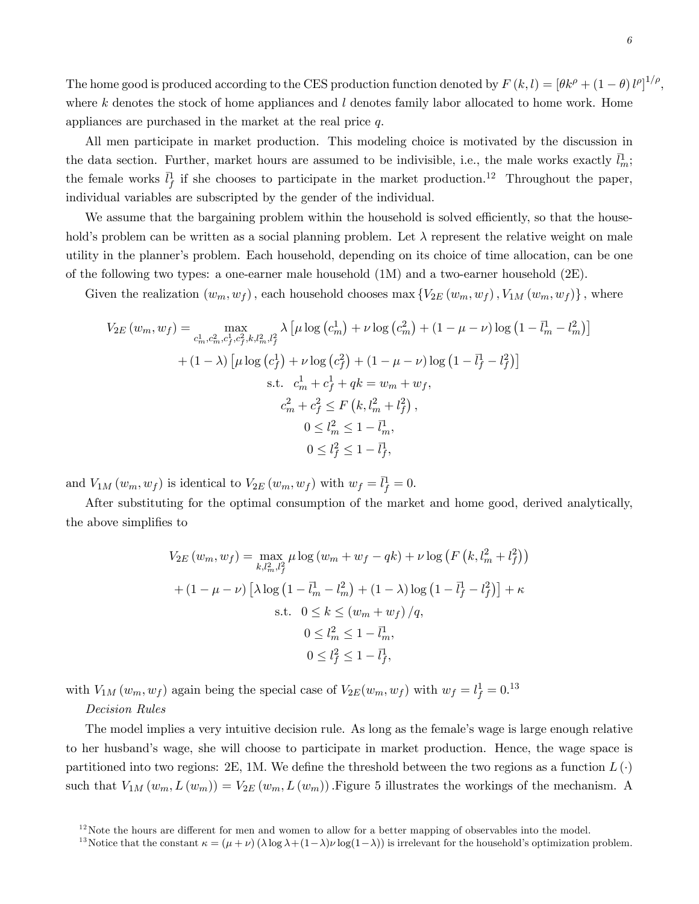The home good is produced according to the CES production function denoted by  $F(k, l) = [\theta k^{\rho} + (1 - \theta)l^{\rho}]^{1/\rho}$ , where  $k$  denotes the stock of home appliances and  $l$  denotes family labor allocated to home work. Home appliances are purchased in the market at the real price q.

All men participate in market production. This modeling choice is motivated by the discussion in the data section. Further, market hours are assumed to be indivisible, i.e., the male works exactly  $\bar{l}_{m}^{1}$ ; the female works  $\bar{l}_f^1$  if she chooses to participate in the market production.<sup>12</sup> Throughout the paper, individual variables are subscripted by the gender of the individual.

We assume that the bargaining problem within the household is solved efficiently, so that the household's problem can be written as a social planning problem. Let  $\lambda$  represent the relative weight on male utility in the planner's problem. Each household, depending on its choice of time allocation, can be one of the following two types: a one-earner male household (1M) and a two-earner household (2E).

Given the realization  $(w_m, w_f)$ , each household chooses max  $\{V_{2E}(w_m, w_f), V_{1M}(w_m, w_f)\}\,$ , where

$$
V_{2E}(w_m, w_f) = \max_{\substack{c_m^1, c_m^2, c_f^2, k, l_m^2, l_f^2}} \lambda \left[ \mu \log \left( c_m^1 \right) + \nu \log \left( c_m^2 \right) + (1 - \mu - \nu) \log \left( 1 - \bar{l}_m^1 - l_m^2 \right) \right]
$$
  
+ 
$$
(1 - \lambda) \left[ \mu \log \left( c_f^1 \right) + \nu \log \left( c_f^2 \right) + (1 - \mu - \nu) \log \left( 1 - \bar{l}_f^1 - l_f^2 \right) \right]
$$
  
s.t. 
$$
c_m^1 + c_f^1 + qk = w_m + w_f,
$$

$$
c_m^2 + c_f^2 \le F \left( k, l_m^2 + l_f^2 \right),
$$

$$
0 \le l_m^2 \le 1 - \bar{l}_m^1,
$$

$$
0 \le l_f^2 \le 1 - \bar{l}_f^1,
$$

and  $V_{1M}(w_m, w_f)$  is identical to  $V_{2E}(w_m, w_f)$  with  $w_f = \bar{l}_f^1 = 0$ .

After substituting for the optimal consumption of the market and home good, derived analytically, the above simplifies to

$$
V_{2E}(w_m, w_f) = \max_{k,l_m^2, l_f^2} \mu \log(w_m + w_f - qk) + \nu \log(F(k, l_m^2 + l_f^2))
$$
  
+ 
$$
(1 - \mu - \nu) \left[ \lambda \log(1 - \bar{l}_m^1 - l_m^2) + (1 - \lambda) \log(1 - \bar{l}_f^1 - l_f^2) \right] + \kappa
$$
  
s.t. 
$$
0 \le k \le (w_m + w_f) / q,
$$

$$
0 \le l_m^2 \le 1 - \bar{l}_m^1,
$$

$$
0 \le l_f^2 \le 1 - \bar{l}_f^1,
$$

with  $V_{1M}(w_m, w_f)$  again being the special case of  $V_{2E}(w_m, w_f)$  with  $w_f = l_f^1 = 0.13$ 

#### Decision Rules

The model implies a very intuitive decision rule. As long as the female's wage is large enough relative to her husband's wage, she will choose to participate in market production. Hence, the wage space is partitioned into two regions: 2E, 1M. We define the threshold between the two regions as a function  $L(\cdot)$ such that  $V_{1M}(w_m, L(w_m)) = V_{2E}(w_m, L(w_m))$ . Figure 5 illustrates the workings of the mechanism. A

 $12$ Note the hours are different for men and women to allow for a better mapping of observables into the model.

<sup>&</sup>lt;sup>13</sup>Notice that the constant  $\kappa = (\mu + \nu) (\lambda \log \lambda + (1 - \lambda) \nu \log(1 - \lambda))$  is irrelevant for the household's optimization problem.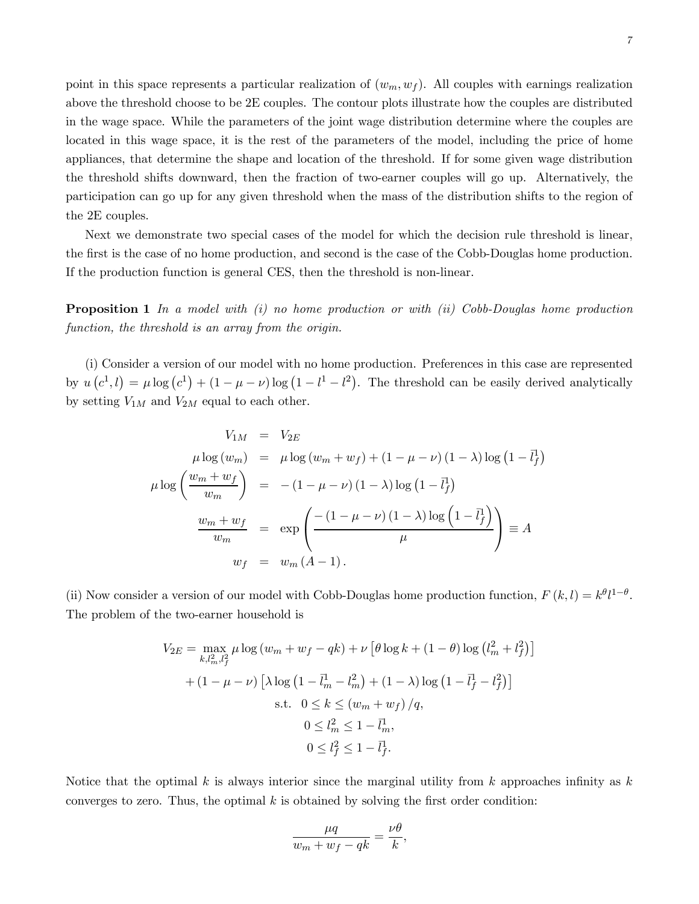point in this space represents a particular realization of  $(w_m, w_f)$ . All couples with earnings realization above the threshold choose to be 2E couples. The contour plots illustrate how the couples are distributed in the wage space. While the parameters of the joint wage distribution determine where the couples are located in this wage space, it is the rest of the parameters of the model, including the price of home appliances, that determine the shape and location of the threshold. If for some given wage distribution the threshold shifts downward, then the fraction of two-earner couples will go up. Alternatively, the participation can go up for any given threshold when the mass of the distribution shifts to the region of the 2E couples.

Next we demonstrate two special cases of the model for which the decision rule threshold is linear, the first is the case of no home production, and second is the case of the Cobb-Douglas home production. If the production function is general CES, then the threshold is non-linear.

**Proposition 1** In a model with  $(i)$  no home production or with  $(ii)$  Cobb-Douglas home production function, the threshold is an array from the origin.

(i) Consider a version of our model with no home production. Preferences in this case are represented by  $u(c^1, l) = \mu \log(c^1) + (1 - \mu - \nu) \log(1 - l^1 - l^2)$ . The threshold can be easily derived analytically by setting  $V_{1M}$  and  $V_{2M}$  equal to each other.

$$
V_{1M} = V_{2E}
$$
  
\n
$$
\mu \log (w_m) = \mu \log (w_m + w_f) + (1 - \mu - \nu) (1 - \lambda) \log (1 - \bar{l}_f^1)
$$
  
\n
$$
\mu \log \left( \frac{w_m + w_f}{w_m} \right) = -(1 - \mu - \nu) (1 - \lambda) \log (1 - \bar{l}_f^1)
$$
  
\n
$$
\frac{w_m + w_f}{w_m} = \exp \left( \frac{-(1 - \mu - \nu) (1 - \lambda) \log (1 - \bar{l}_f^1)}{\mu} \right) \equiv A
$$
  
\n
$$
w_f = w_m (A - 1).
$$

(ii) Now consider a version of our model with Cobb-Douglas home production function,  $F(k, l) = k^{\theta}l^{1-\theta}$ . The problem of the two-earner household is

$$
V_{2E} = \max_{k,l_m^2,l_f^2} \mu \log (w_m + w_f - qk) + \nu \left[ \theta \log k + (1 - \theta) \log (l_m^2 + l_f^2) \right]
$$
  
+ 
$$
(1 - \mu - \nu) \left[ \lambda \log (1 - \bar{l}_m^1 - l_m^2) + (1 - \lambda) \log (1 - \bar{l}_f^1 - l_f^2) \right]
$$
  
s.t.  $0 \le k \le (w_m + w_f) / q$ ,  
 $0 \le l_m^2 \le 1 - \bar{l}_m^1$ ,  
 $0 \le l_f^2 \le 1 - \bar{l}_f^1$ .

Notice that the optimal k is always interior since the marginal utility from k approaches infinity as  $k$ converges to zero. Thus, the optimal  $k$  is obtained by solving the first order condition:

$$
\frac{\mu q}{w_m + w_f - qk} = \frac{\nu \theta}{k},
$$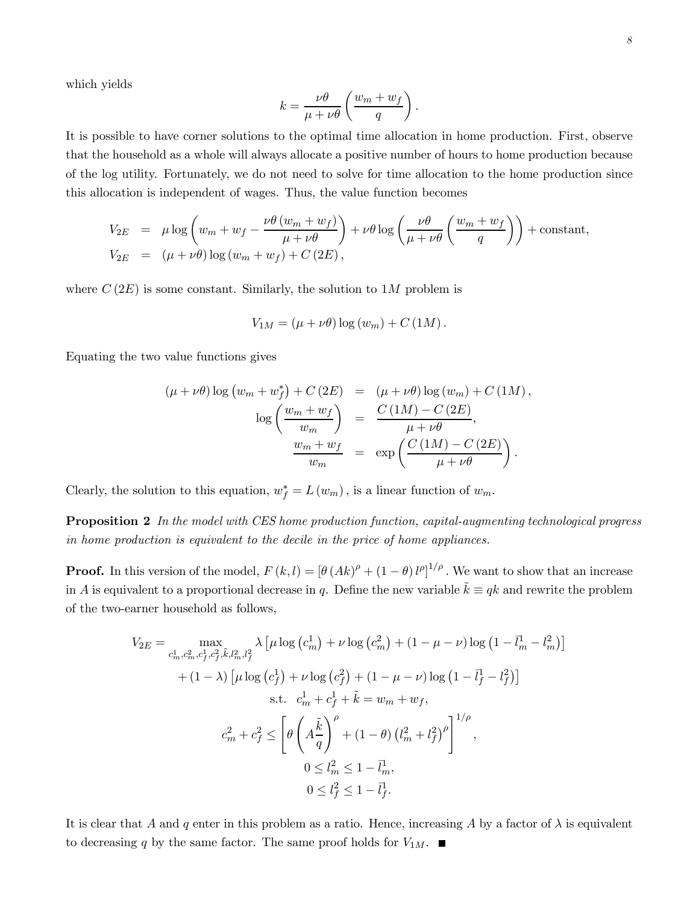which yields

$$
k = \frac{\nu \theta}{\mu + \nu \theta} \left( \frac{w_m + w_f}{q} \right).
$$

It is possible to have corner solutions to the optimal time allocation in home production. First, observe that the household as a whole will always allocate a positive number of hours to home production because of the log utility. Fortunately, we do not need to solve for time allocation to the home production since this allocation is independent of wages. Thus, the value function becomes

$$
V_{2E} = \mu \log \left( w_m + w_f - \frac{\nu \theta (w_m + w_f)}{\mu + \nu \theta} \right) + \nu \theta \log \left( \frac{\nu \theta}{\mu + \nu \theta} \left( \frac{w_m + w_f}{q} \right) \right) + \text{constant},
$$
  

$$
V_{2E} = (\mu + \nu \theta) \log (w_m + w_f) + C (2E),
$$

where  $C(2E)$  is some constant. Similarly, the solution to 1M problem is

$$
V_{1M} = (\mu + \nu \theta) \log (w_m) + C (1M).
$$

Equating the two value functions gives

$$
(\mu + \nu \theta) \log (w_m + w_f^*) + C (2E) = (\mu + \nu \theta) \log (w_m) + C (1M),
$$

$$
\log \left( \frac{w_m + w_f}{w_m} \right) = \frac{C (1M) - C (2E)}{\mu + \nu \theta},
$$

$$
\frac{w_m + w_f}{w_m} = \exp \left( \frac{C (1M) - C (2E)}{\mu + \nu \theta} \right).
$$

Clearly, the solution to this equation,  $w_f^* = L(w_m)$ , is a linear function of  $w_m$ .

**Proposition 2** In the model with CES home production function, capital-augmenting technological progress in home production is equivalent to the decile in the price of home appliances.

**Proof.** In this version of the model,  $F(k, l) = [\theta (Ak)^{\rho} + (1 - \theta)l^{\rho}]^{1/\rho}$ . We want to show that an increase in A is equivalent to a proportional decrease in q. Define the new variable  $\tilde{k} \equiv qk$  and rewrite the problem of the two-earner household as follows,

$$
V_{2E} = \max_{c_m^1, c_m^2, c_f^1, c_f^2, \tilde{k}, l_m^2, l_f^2} \lambda \left[ \mu \log \left( c_m^1 \right) + \nu \log \left( c_m^2 \right) + (1 - \mu - \nu) \log \left( 1 - \bar{l}_m^1 - l_m^2 \right) \right]
$$
  
+ 
$$
(1 - \lambda) \left[ \mu \log \left( c_f^1 \right) + \nu \log \left( c_f^2 \right) + (1 - \mu - \nu) \log \left( 1 - \bar{l}_f^1 - l_f^2 \right) \right]
$$
  
s.t. 
$$
c_m^1 + c_f^1 + \tilde{k} = w_m + w_f,
$$

$$
c_m^2 + c_f^2 \le \left[ \theta \left( A \frac{\tilde{k}}{q} \right)^{\rho} + (1 - \theta) \left( l_m^2 + l_f^2 \right)^{\rho} \right]^{1/\rho},
$$

$$
0 \le l_m^2 \le 1 - \bar{l}_m^1,
$$

$$
0 \le l_f^2 \le 1 - \bar{l}_f^1.
$$

It is clear that A and q enter in this problem as a ratio. Hence, increasing A by a factor of  $\lambda$  is equivalent to decreasing  $q$  by the same factor. The same proof holds for  $V_{1M}.~\blacksquare$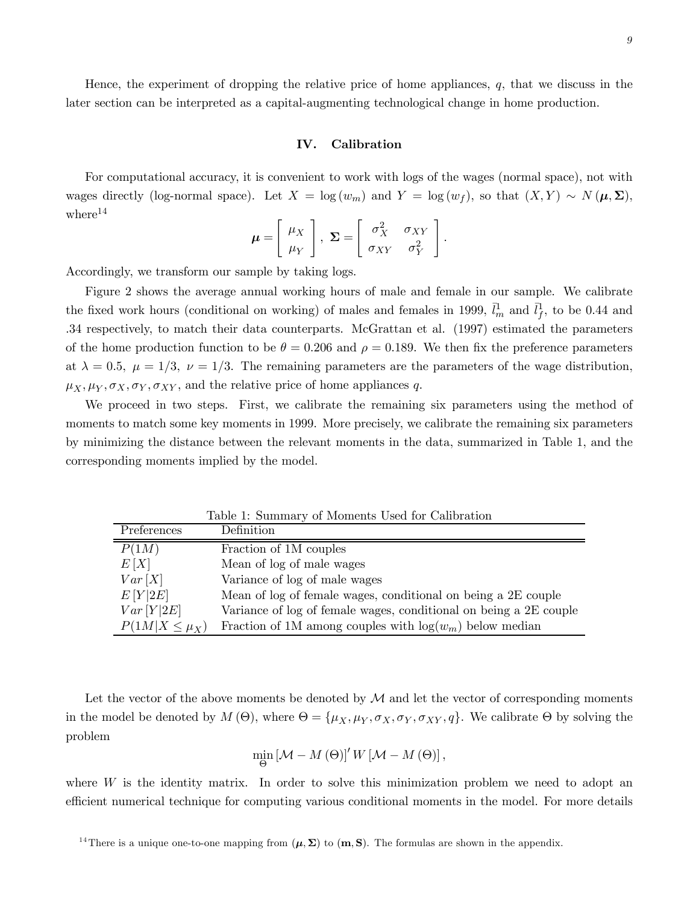Hence, the experiment of dropping the relative price of home appliances,  $q$ , that we discuss in the later section can be interpreted as a capital-augmenting technological change in home production.

### IV. Calibration

For computational accuracy, it is convenient to work with logs of the wages (normal space), not with wages directly (log-normal space). Let  $X = \log(w_m)$  and  $Y = \log(w_f)$ , so that  $(X, Y) \sim N(\mu, \Sigma)$ ,  $where<sup>14</sup>$ 

$$
\boldsymbol{\mu} = \left[ \begin{array}{c} \mu_X \\ \mu_Y \end{array} \right], \ \boldsymbol{\Sigma} = \left[ \begin{array}{cc} \sigma_X^2 & \sigma_{XY} \\ \sigma_{XY} & \sigma_Y^2 \end{array} \right].
$$

Accordingly, we transform our sample by taking logs.

Figure 2 shows the average annual working hours of male and female in our sample. We calibrate the fixed work hours (conditional on working) of males and females in 1999,  $\bar{l}_m^1$  and  $\bar{l}_f^1$ , to be 0.44 and .34 respectively, to match their data counterparts. McGrattan et al. (1997) estimated the parameters of the home production function to be  $\theta = 0.206$  and  $\rho = 0.189$ . We then fix the preference parameters at  $\lambda = 0.5$ ,  $\mu = 1/3$ ,  $\nu = 1/3$ . The remaining parameters are the parameters of the wage distribution,  $\mu_X, \mu_Y, \sigma_X, \sigma_Y, \sigma_{XY}$ , and the relative price of home appliances q.

We proceed in two steps. First, we calibrate the remaining six parameters using the method of moments to match some key moments in 1999. More precisely, we calibrate the remaining six parameters by minimizing the distance between the relevant moments in the data, summarized in Table 1, and the corresponding moments implied by the model.

Table 1: Summary of Moments Used for Calibration

| Preferences          | Definition                                                        |
|----------------------|-------------------------------------------------------------------|
| P(1M)                | Fraction of 1M couples                                            |
| E[X]                 | Mean of log of male wages                                         |
| Var[X]               | Variance of log of male wages                                     |
| E[Y 2E]              | Mean of log of female wages, conditional on being a 2E couple     |
| Var[Y 2E]            | Variance of log of female wages, conditional on being a 2E couple |
| $P(1M X \leq \mu_X)$ | Fraction of 1M among couples with $log(w_m)$ below median         |

Let the vector of the above moments be denoted by  $\mathcal M$  and let the vector of corresponding moments in the model be denoted by  $M(\Theta)$ , where  $\Theta = {\mu_X, \mu_Y, \sigma_X, \sigma_Y, \sigma_{XY}, q}$ . We calibrate  $\Theta$  by solving the problem

$$
\min_{\Theta} \left[\mathcal{M} - M(\Theta)\right]' W \left[\mathcal{M} - M(\Theta)\right],
$$

where W is the identity matrix. In order to solve this minimization problem we need to adopt an efficient numerical technique for computing various conditional moments in the model. For more details

<sup>&</sup>lt;sup>14</sup>There is a unique one-to-one mapping from  $(\mu, \Sigma)$  to  $(m, S)$ . The formulas are shown in the appendix.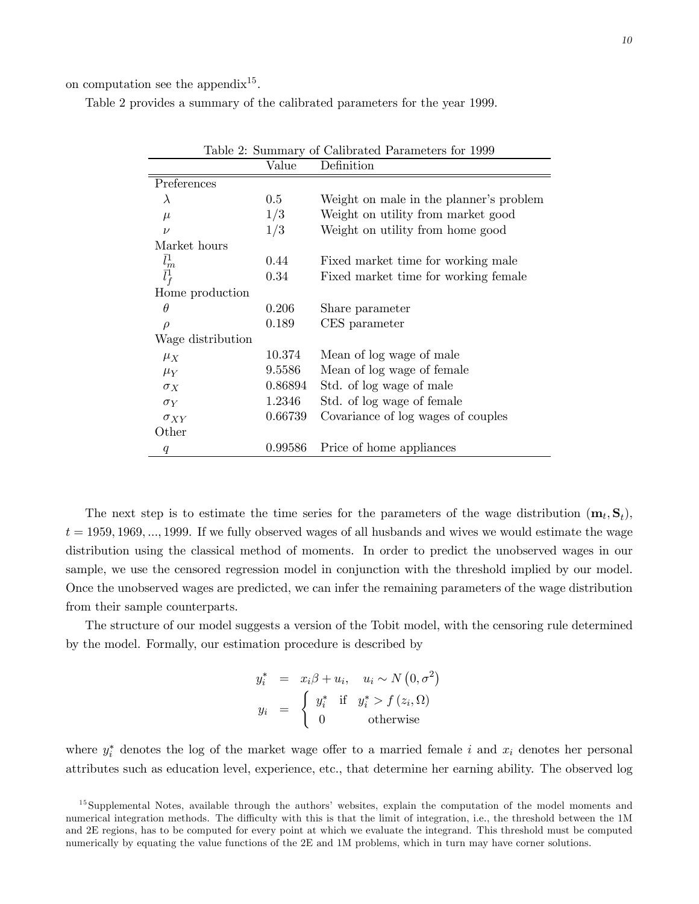on computation see the appendix<sup>15</sup>.

Table 2 provides a summary of the calibrated parameters for the year 1999.

| Table 2: Summary of Calibrated Parameters for 1999 |         |                                         |  |
|----------------------------------------------------|---------|-----------------------------------------|--|
|                                                    | Value   | Definition                              |  |
| Preferences                                        |         |                                         |  |
| $\lambda$                                          | 0.5     | Weight on male in the planner's problem |  |
| $\mu$                                              | 1/3     | Weight on utility from market good      |  |
| $\nu$                                              | 1/3     | Weight on utility from home good        |  |
| Market hours                                       |         |                                         |  |
|                                                    | 0.44    | Fixed market time for working male      |  |
| $\bar{l}_m^1$<br>$\bar{l}_f^1$                     | 0.34    | Fixed market time for working female    |  |
| Home production                                    |         |                                         |  |
| $\theta$                                           | 0.206   | Share parameter                         |  |
| $\rho$                                             | 0.189   | CES parameter                           |  |
| Wage distribution                                  |         |                                         |  |
| $\mu_X$                                            | 10.374  | Mean of log wage of male                |  |
| $\mu_Y$                                            | 9.5586  | Mean of log wage of female              |  |
| $\sigma_X$                                         | 0.86894 | Std. of log wage of male                |  |
| $\sigma_Y$                                         | 1.2346  | Std. of log wage of female              |  |
| $\sigma_{XY}$                                      | 0.66739 | Covariance of log wages of couples      |  |
| Other                                              |         |                                         |  |
| q                                                  | 0.99586 | Price of home appliances                |  |

The next step is to estimate the time series for the parameters of the wage distribution  $(\mathbf{m}_t, \mathbf{S}_t)$ ,  $t = 1959, 1969, \ldots, 1999$ . If we fully observed wages of all husbands and wives we would estimate the wage distribution using the classical method of moments. In order to predict the unobserved wages in our sample, we use the censored regression model in conjunction with the threshold implied by our model. Once the unobserved wages are predicted, we can infer the remaining parameters of the wage distribution from their sample counterparts.

The structure of our model suggests a version of the Tobit model, with the censoring rule determined by the model. Formally, our estimation procedure is described by

$$
y_i^* = x_i \beta + u_i, \quad u_i \sim N(0, \sigma^2)
$$
  

$$
y_i = \begin{cases} y_i^* & \text{if } y_i^* > f(z_i, \Omega) \\ 0 & \text{otherwise} \end{cases}
$$

where  $y_i^*$  denotes the log of the market wage offer to a married female i and  $x_i$  denotes her personal attributes such as education level, experience, etc., that determine her earning ability. The observed log

<sup>&</sup>lt;sup>15</sup>Supplemental Notes, available through the authors' websites, explain the computation of the model moments and numerical integration methods. The difficulty with this is that the limit of integration, i.e., the threshold between the 1M and 2E regions, has to be computed for every point at which we evaluate the integrand. This threshold must be computed numerically by equating the value functions of the 2E and 1M problems, which in turn may have corner solutions.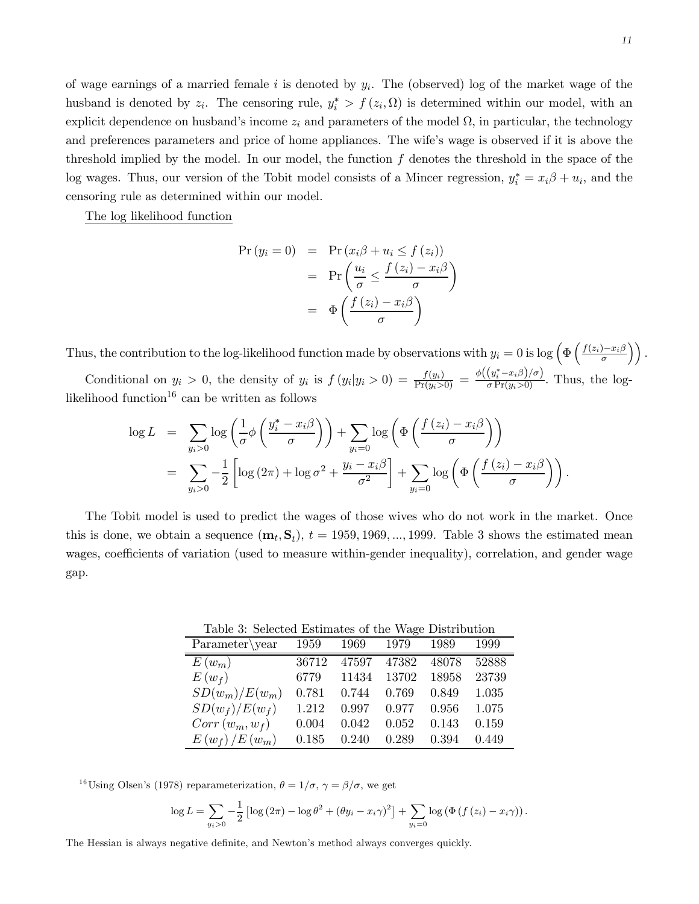of wage earnings of a married female i is denoted by  $y_i$ . The (observed) log of the market wage of the husband is denoted by  $z_i$ . The censoring rule,  $y_i^* > f(z_i, \Omega)$  is determined within our model, with an explicit dependence on husband's income  $z_i$  and parameters of the model  $\Omega$ , in particular, the technology and preferences parameters and price of home appliances. The wife's wage is observed if it is above the threshold implied by the model. In our model, the function  $f$  denotes the threshold in the space of the log wages. Thus, our version of the Tobit model consists of a Mincer regression,  $y_i^* = x_i\beta + u_i$ , and the censoring rule as determined within our model.

The log likelihood function

$$
\begin{array}{rcl} \Pr\left(y_i = 0\right) & = & \Pr\left(x_i \beta + u_i \le f\left(z_i\right)\right) \\ & = & \Pr\left(\frac{u_i}{\sigma} \le \frac{f\left(z_i\right) - x_i \beta}{\sigma}\right) \\ & = & \Phi\left(\frac{f\left(z_i\right) - x_i \beta}{\sigma}\right) \end{array}
$$

Thus, the contribution to the log-likelihood function made by observations with  $y_i = 0$  is log  $\left(\Phi\left(\frac{f(z_i) - x_i\beta}{\sigma}\right)\right)$ . Conditional on  $y_i > 0$ , the density of  $y_i$  is  $f(y_i|y_i > 0) = \frac{f(y_i)}{Pr(y_i>0)} = \frac{\phi((y_i^* - x_i\beta)/\sigma)}{\sigma Pr(y_i>0)}$ . Thus, the log-

likelihood function<sup>16</sup> can be written as follows

$$
\log L = \sum_{y_i > 0} \log \left( \frac{1}{\sigma} \phi \left( \frac{y_i^* - x_i \beta}{\sigma} \right) \right) + \sum_{y_i = 0} \log \left( \Phi \left( \frac{f(z_i) - x_i \beta}{\sigma} \right) \right)
$$
  
= 
$$
\sum_{y_i > 0} -\frac{1}{2} \left[ \log (2\pi) + \log \sigma^2 + \frac{y_i - x_i \beta}{\sigma^2} \right] + \sum_{y_i = 0} \log \left( \Phi \left( \frac{f(z_i) - x_i \beta}{\sigma} \right) \right).
$$

The Tobit model is used to predict the wages of those wives who do not work in the market. Once this is done, we obtain a sequence  $(\mathbf{m}_t, \mathbf{S}_t)$ ,  $t = 1959, 1969, ..., 1999$ . Table 3 shows the estimated mean wages, coefficients of variation (used to measure within-gender inequality), correlation, and gender wage gap.

Table 3: Selected Estimates of the Wage Distribution

| Twore of personal modification of the Health modification |       |       |       |       |       |  |
|-----------------------------------------------------------|-------|-------|-------|-------|-------|--|
| Parameter\year                                            | 1959  | 1969  | 1979  | 1989  | 1999  |  |
| $E(w_m)$                                                  | 36712 | 47597 | 47382 | 48078 | 52888 |  |
| $E(w_f)$                                                  | 6779  | 11434 | 13702 | 18958 | 23739 |  |
| $SD(w_m)/E(w_m)$                                          | 0.781 | 0.744 | 0.769 | 0.849 | 1.035 |  |
| $SD(w_f)/E(w_f)$                                          | 1.212 | 0.997 | 0.977 | 0.956 | 1.075 |  |
| $Corr(w_m, w_f)$                                          | 0.004 | 0.042 | 0.052 | 0.143 | 0.159 |  |
| $E(w_f)/E(w_m)$                                           | 0.185 | 0.240 | 0.289 | 0.394 | 0.449 |  |

<sup>16</sup>Using Olsen's (1978) reparameterization,  $\theta = 1/\sigma$ ,  $\gamma = \beta/\sigma$ , we get

$$
\log L = \sum_{y_i > 0} -\frac{1}{2} \left[ \log \left( 2\pi \right) - \log \theta^2 + \left( \theta y_i - x_i \gamma \right)^2 \right] + \sum_{y_i = 0} \log \left( \Phi \left( f \left( z_i \right) - x_i \gamma \right) \right).
$$

The Hessian is always negative definite, and Newton's method always converges quickly.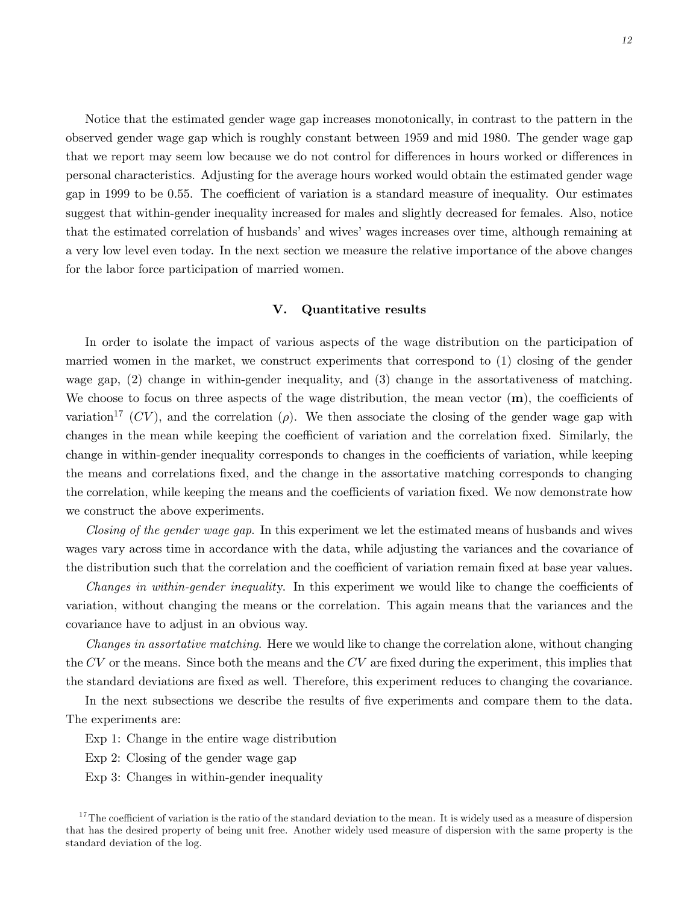Notice that the estimated gender wage gap increases monotonically, in contrast to the pattern in the observed gender wage gap which is roughly constant between 1959 and mid 1980. The gender wage gap that we report may seem low because we do not control for differences in hours worked or differences in personal characteristics. Adjusting for the average hours worked would obtain the estimated gender wage gap in 1999 to be 0.55. The coefficient of variation is a standard measure of inequality. Our estimates suggest that within-gender inequality increased for males and slightly decreased for females. Also, notice that the estimated correlation of husbands' and wives' wages increases over time, although remaining at a very low level even today. In the next section we measure the relative importance of the above changes for the labor force participation of married women.

#### V. Quantitative results

In order to isolate the impact of various aspects of the wage distribution on the participation of married women in the market, we construct experiments that correspond to (1) closing of the gender wage gap, (2) change in within-gender inequality, and (3) change in the assortativeness of matching. We choose to focus on three aspects of the wage distribution, the mean vector  $(m)$ , the coefficients of variation<sup>17</sup> (CV), and the correlation ( $\rho$ ). We then associate the closing of the gender wage gap with changes in the mean while keeping the coefficient of variation and the correlation fixed. Similarly, the change in within-gender inequality corresponds to changes in the coefficients of variation, while keeping the means and correlations fixed, and the change in the assortative matching corresponds to changing the correlation, while keeping the means and the coefficients of variation fixed. We now demonstrate how we construct the above experiments.

Closing of the gender wage gap. In this experiment we let the estimated means of husbands and wives wages vary across time in accordance with the data, while adjusting the variances and the covariance of the distribution such that the correlation and the coefficient of variation remain fixed at base year values.

Changes in within-gender inequality. In this experiment we would like to change the coefficients of variation, without changing the means or the correlation. This again means that the variances and the covariance have to adjust in an obvious way.

Changes in assortative matching. Here we would like to change the correlation alone, without changing the  $CV$  or the means. Since both the means and the  $CV$  are fixed during the experiment, this implies that the standard deviations are fixed as well. Therefore, this experiment reduces to changing the covariance.

In the next subsections we describe the results of five experiments and compare them to the data. The experiments are:

Exp 1: Change in the entire wage distribution

- Exp 2: Closing of the gender wage gap
- Exp 3: Changes in within-gender inequality

 $17$ The coefficient of variation is the ratio of the standard deviation to the mean. It is widely used as a measure of dispersion that has the desired property of being unit free. Another widely used measure of dispersion with the same property is the standard deviation of the log.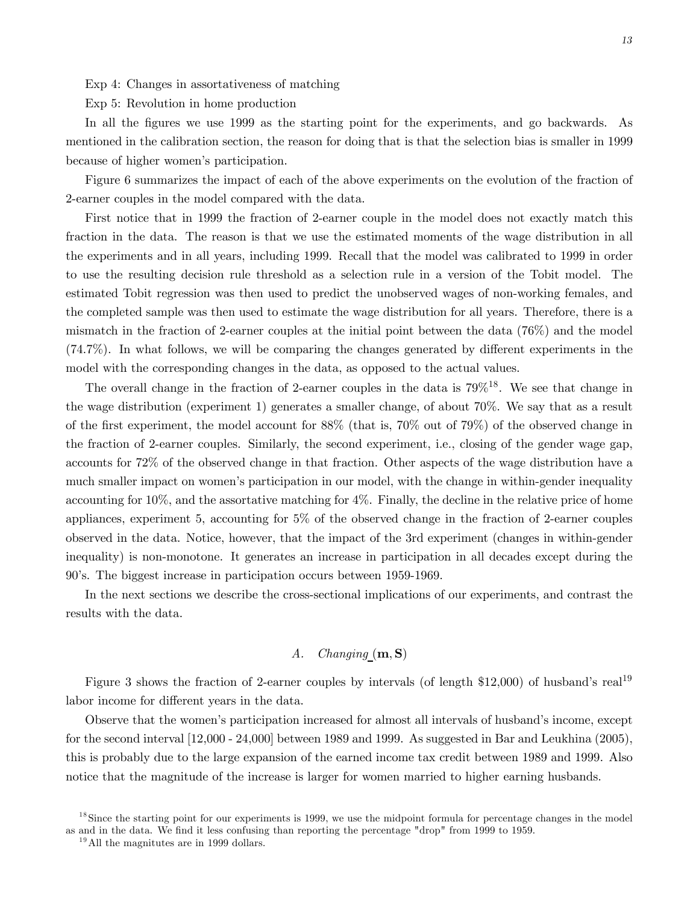Exp 4: Changes in assortativeness of matching

Exp 5: Revolution in home production

In all the figures we use 1999 as the starting point for the experiments, and go backwards. As mentioned in the calibration section, the reason for doing that is that the selection bias is smaller in 1999 because of higher women's participation.

Figure 6 summarizes the impact of each of the above experiments on the evolution of the fraction of 2-earner couples in the model compared with the data.

First notice that in 1999 the fraction of 2-earner couple in the model does not exactly match this fraction in the data. The reason is that we use the estimated moments of the wage distribution in all the experiments and in all years, including 1999. Recall that the model was calibrated to 1999 in order to use the resulting decision rule threshold as a selection rule in a version of the Tobit model. The estimated Tobit regression was then used to predict the unobserved wages of non-working females, and the completed sample was then used to estimate the wage distribution for all years. Therefore, there is a mismatch in the fraction of 2-earner couples at the initial point between the data (76%) and the model (74.7%). In what follows, we will be comparing the changes generated by different experiments in the model with the corresponding changes in the data, as opposed to the actual values.

The overall change in the fraction of 2-earner couples in the data is  $79\%$ <sup>18</sup>. We see that change in the wage distribution (experiment 1) generates a smaller change, of about 70%. We say that as a result of the first experiment, the model account for 88% (that is, 70% out of 79%) of the observed change in the fraction of 2-earner couples. Similarly, the second experiment, i.e., closing of the gender wage gap, accounts for 72% of the observed change in that fraction. Other aspects of the wage distribution have a much smaller impact on women's participation in our model, with the change in within-gender inequality accounting for 10%, and the assortative matching for 4%. Finally, the decline in the relative price of home appliances, experiment 5, accounting for 5% of the observed change in the fraction of 2-earner couples observed in the data. Notice, however, that the impact of the 3rd experiment (changes in within-gender inequality) is non-monotone. It generates an increase in participation in all decades except during the 90's. The biggest increase in participation occurs between 1959-1969.

In the next sections we describe the cross-sectional implications of our experiments, and contrast the results with the data.

# A. Changing  $(m, S)$

Figure 3 shows the fraction of 2-earner couples by intervals (of length  $$12,000$ ) of husband's real<sup>19</sup> labor income for different years in the data.

Observe that the women's participation increased for almost all intervals of husband's income, except for the second interval  $[12,000 - 24,000]$  between 1989 and 1999. As suggested in Bar and Leukhina (2005), this is probably due to the large expansion of the earned income tax credit between 1989 and 1999. Also notice that the magnitude of the increase is larger for women married to higher earning husbands.

 $18$  Since the starting point for our experiments is 1999, we use the midpoint formula for percentage changes in the model as and in the data. We find it less confusing than reporting the percentage "drop" from 1999 to 1959.

 $19$ All the magnitutes are in 1999 dollars.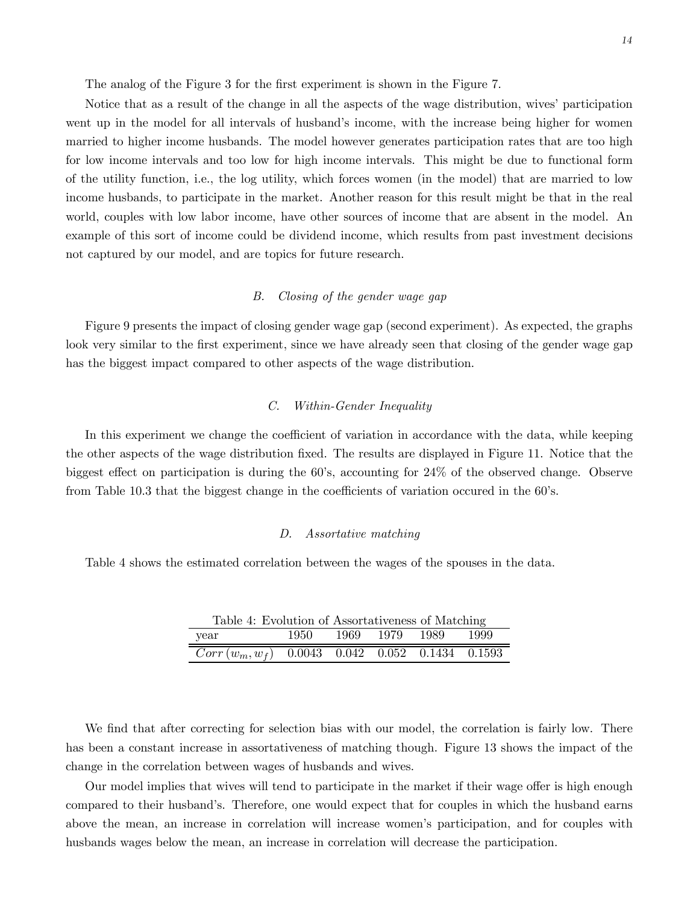The analog of the Figure 3 for the first experiment is shown in the Figure 7.

Notice that as a result of the change in all the aspects of the wage distribution, wives' participation went up in the model for all intervals of husband's income, with the increase being higher for women married to higher income husbands. The model however generates participation rates that are too high for low income intervals and too low for high income intervals. This might be due to functional form of the utility function, i.e., the log utility, which forces women (in the model) that are married to low income husbands, to participate in the market. Another reason for this result might be that in the real world, couples with low labor income, have other sources of income that are absent in the model. An example of this sort of income could be dividend income, which results from past investment decisions not captured by our model, and are topics for future research.

## B. Closing of the gender wage gap

Figure 9 presents the impact of closing gender wage gap (second experiment). As expected, the graphs look very similar to the first experiment, since we have already seen that closing of the gender wage gap has the biggest impact compared to other aspects of the wage distribution.

#### C. Within-Gender Inequality

In this experiment we change the coefficient of variation in accordance with the data, while keeping the other aspects of the wage distribution fixed. The results are displayed in Figure 11. Notice that the biggest effect on participation is during the 60's, accounting for 24% of the observed change. Observe from Table 10.3 that the biggest change in the coefficients of variation occured in the 60's.

#### D. Assortative matching

Table 4 shows the estimated correlation between the wages of the spouses in the data.

Table 4: Evolution of Assortativeness of Matching year 1950 1969 1979 1989 1999  $Corr(w_m, w_f)$  0.0043 0.042 0.052 0.1434 0.1593

We find that after correcting for selection bias with our model, the correlation is fairly low. There has been a constant increase in assortativeness of matching though. Figure 13 shows the impact of the change in the correlation between wages of husbands and wives.

Our model implies that wives will tend to participate in the market if their wage offer is high enough compared to their husband's. Therefore, one would expect that for couples in which the husband earns above the mean, an increase in correlation will increase women's participation, and for couples with husbands wages below the mean, an increase in correlation will decrease the participation.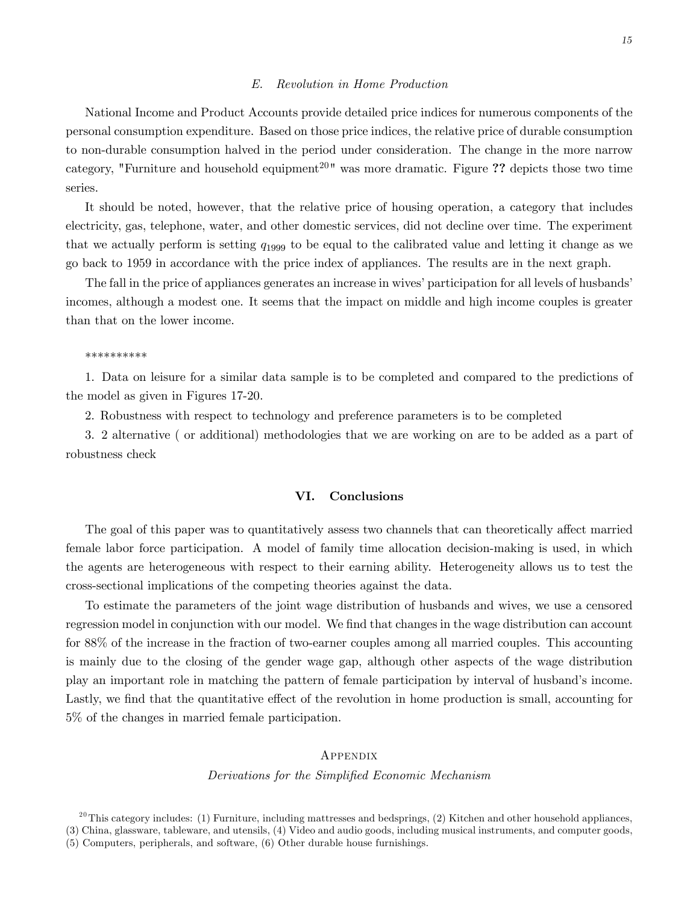#### E. Revolution in Home Production

National Income and Product Accounts provide detailed price indices for numerous components of the personal consumption expenditure. Based on those price indices, the relative price of durable consumption to non-durable consumption halved in the period under consideration. The change in the more narrow category, "Furniture and household equipment<sup>20</sup>" was more dramatic. Figure ?? depicts those two time series.

It should be noted, however, that the relative price of housing operation, a category that includes electricity, gas, telephone, water, and other domestic services, did not decline over time. The experiment that we actually perform is setting  $q_{1999}$  to be equal to the calibrated value and letting it change as we go back to 1959 in accordance with the price index of appliances. The results are in the next graph.

The fall in the price of appliances generates an increase in wives' participation for all levels of husbands' incomes, although a modest one. It seems that the impact on middle and high income couples is greater than that on the lower income.

#### \*\*\*\*\*\*\*\*\*\*

1. Data on leisure for a similar data sample is to be completed and compared to the predictions of the model as given in Figures 17-20.

2. Robustness with respect to technology and preference parameters is to be completed

3. 2 alternative ( or additional) methodologies that we are working on are to be added as a part of robustness check

# VI. Conclusions

The goal of this paper was to quantitatively assess two channels that can theoretically affect married female labor force participation. A model of family time allocation decision-making is used, in which the agents are heterogeneous with respect to their earning ability. Heterogeneity allows us to test the cross-sectional implications of the competing theories against the data.

To estimate the parameters of the joint wage distribution of husbands and wives, we use a censored regression model in conjunction with our model. We find that changes in the wage distribution can account for 88% of the increase in the fraction of two-earner couples among all married couples. This accounting is mainly due to the closing of the gender wage gap, although other aspects of the wage distribution play an important role in matching the pattern of female participation by interval of husband's income. Lastly, we find that the quantitative effect of the revolution in home production is small, accounting for 5% of the changes in married female participation.

# Appendix

# Derivations for the Simplified Economic Mechanism

 $^{20}$ This category includes: (1) Furniture, including mattresses and bedsprings, (2) Kitchen and other household appliances, (3) China, glassware, tableware, and utensils, (4) Video and audio goods, including musical instruments, and computer goods, (5) Computers, peripherals, and software, (6) Other durable house furnishings.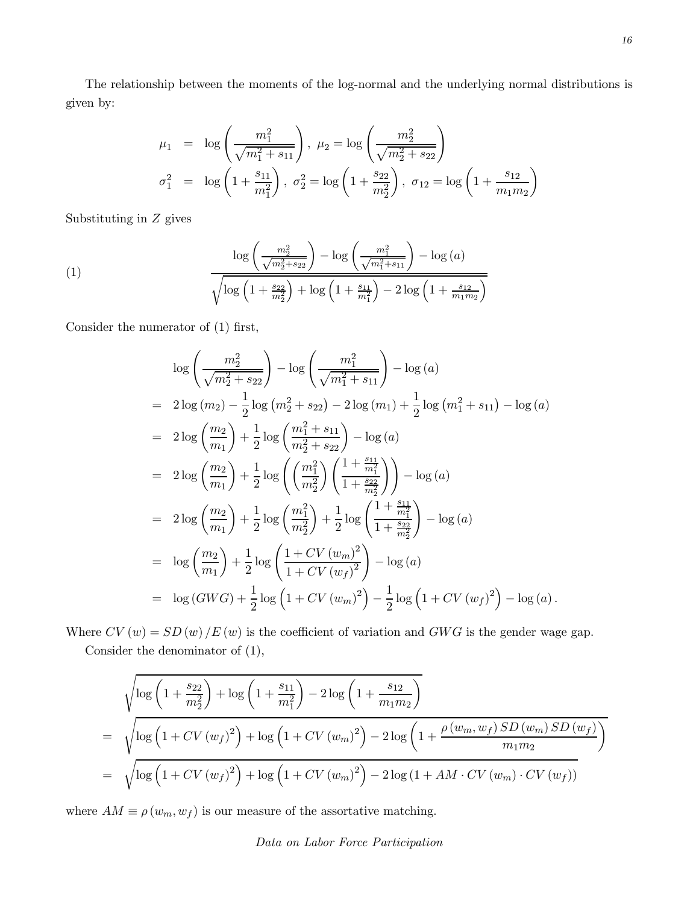The relationship between the moments of the log-normal and the underlying normal distributions is given by:

$$
\mu_1 = \log\left(\frac{m_1^2}{\sqrt{m_1^2 + s_{11}}}\right), \ \mu_2 = \log\left(\frac{m_2^2}{\sqrt{m_2^2 + s_{22}}}\right)
$$

$$
\sigma_1^2 = \log\left(1 + \frac{s_{11}}{m_1^2}\right), \ \sigma_2^2 = \log\left(1 + \frac{s_{22}}{m_2^2}\right), \ \sigma_{12} = \log\left(1 + \frac{s_{12}}{m_1 m_2}\right)
$$

Substituting in Z gives

(1) 
$$
\frac{\log\left(\frac{m_2^2}{\sqrt{m_2^2 + s_{22}}}\right) - \log\left(\frac{m_1^2}{\sqrt{m_1^2 + s_{11}}}\right) - \log(a)}{\sqrt{\log\left(1 + \frac{s_{22}}{m_2^2}\right) + \log\left(1 + \frac{s_{11}}{m_1^2}\right) - 2\log\left(1 + \frac{s_{12}}{m_1 m_2}\right)}}
$$

Consider the numerator of (1) first,

$$
\log\left(\frac{m_2^2}{\sqrt{m_2^2 + s_{22}}}\right) - \log\left(\frac{m_1^2}{\sqrt{m_1^2 + s_{11}}}\right) - \log(a)
$$
  
=  $2\log(m_2) - \frac{1}{2}\log(m_2^2 + s_{22}) - 2\log(m_1) + \frac{1}{2}\log(m_1^2 + s_{11}) - \log(a)$   
=  $2\log\left(\frac{m_2}{m_1}\right) + \frac{1}{2}\log\left(\frac{m_1^2 + s_{11}}{m_2^2 + s_{22}}\right) - \log(a)$   
=  $2\log\left(\frac{m_2}{m_1}\right) + \frac{1}{2}\log\left(\left(\frac{m_1^2}{m_2^2}\right)\left(\frac{1 + \frac{s_{11}}{m_1^2}}{1 + \frac{s_{22}}{m_2^2}}\right)\right) - \log(a)$   
=  $2\log\left(\frac{m_2}{m_1}\right) + \frac{1}{2}\log\left(\frac{m_1^2}{m_2^2}\right) + \frac{1}{2}\log\left(\frac{1 + \frac{s_{11}}{m_1^2}}{1 + \frac{s_{22}}{m_2^2}}\right) - \log(a)$   
=  $\log\left(\frac{m_2}{m_1}\right) + \frac{1}{2}\log\left(\frac{1 + CV(w_m)^2}{1 + CV(w_f)^2}\right) - \log(a)$   
=  $\log(GWG) + \frac{1}{2}\log\left(1 + CV(w_m)^2\right) - \frac{1}{2}\log\left(1 + CV(w_f)^2\right) - \log(a)$ .

Where  $CV(w) = SD(w)/E(w)$  is the coefficient of variation and  $GWG$  is the gender wage gap. Consider the denominator of (1),

$$
\sqrt{\log\left(1+\frac{s_{22}}{m_{2}^{2}}\right)+\log\left(1+\frac{s_{11}}{m_{1}^{2}}\right)-2\log\left(1+\frac{s_{12}}{m_{1}m_{2}}\right)}
$$
\n
$$
=\sqrt{\log\left(1+CV(w_{f})^{2}\right)+\log\left(1+CV(w_{m})^{2}\right)-2\log\left(1+\frac{\rho(w_{m},w_{f})\,SD(w_{m})\,SD(w_{f})}{m_{1}m_{2}}\right)}
$$
\n
$$
=\sqrt{\log\left(1+CV(w_{f})^{2}\right)+\log\left(1+CV(w_{m})^{2}\right)-2\log\left(1+AM\cdot CV(w_{m})\cdot CV(w_{f})\right)}
$$

where  $AM \equiv \rho\left(w_m, w_f\right)$  is our measure of the assortative matching.

Data on Labor Force Participation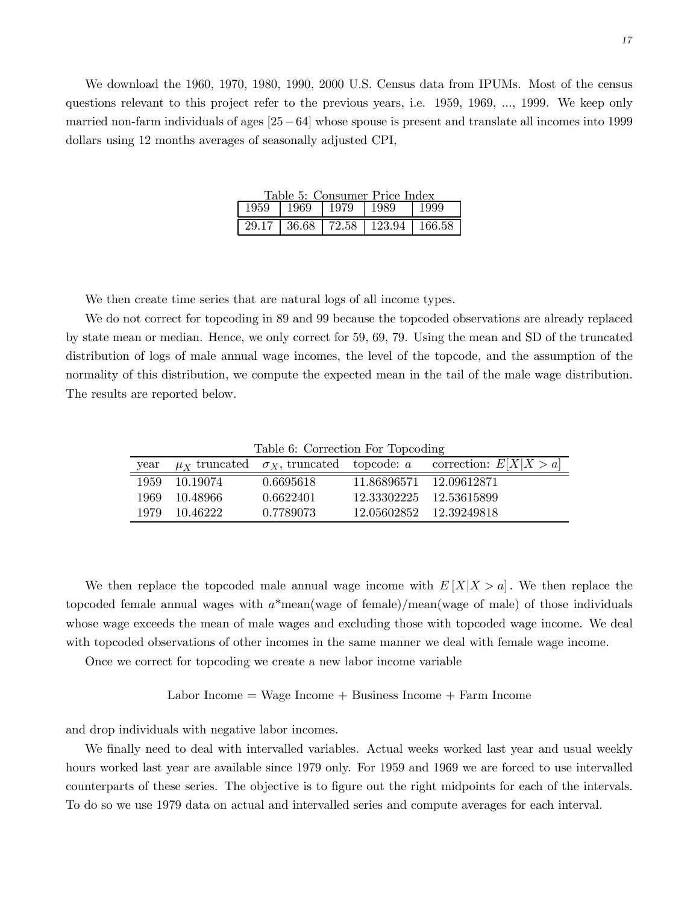We download the 1960, 1970, 1980, 1990, 2000 U.S. Census data from IPUMs. Most of the census questions relevant to this project refer to the previous years, i.e. 1959, 1969, ..., 1999. We keep only married non-farm individuals of ages [25−64] whose spouse is present and translate all incomes into 1999 dollars using 12 months averages of seasonally adjusted CPI,

| Table 5: Consumer Price Index |  |  |                                         |  |  |
|-------------------------------|--|--|-----------------------------------------|--|--|
|                               |  |  | 1959   1969   1979   1989   1999        |  |  |
|                               |  |  | 29.17   36.68   72.58   123.94   166.58 |  |  |

We then create time series that are natural logs of all income types.

We do not correct for topcoding in 89 and 99 because the topcoded observations are already replaced by state mean or median. Hence, we only correct for 59, 69, 79. Using the mean and SD of the truncated distribution of logs of male annual wage incomes, the level of the topcode, and the assumption of the normality of this distribution, we compute the expected mean in the tail of the male wage distribution. The results are reported below.

Table 6: Correction For Topcoding

| vear  |            |           | $\mu_X$ truncated $\sigma_X$ , truncated topcode: a correction: $E[X X > a]$ |
|-------|------------|-----------|------------------------------------------------------------------------------|
| 1959  | 10.19074   | 0.6695618 | 11.86896571 12.09612871                                                      |
| 1969. | - 10.48966 | 0.6622401 | 12.33302225 12.53615899                                                      |
| 1979  | -10 46222  | 0.7789073 | 12.05602852 12.39249818                                                      |

We then replace the topcoded male annual wage income with  $E[X|X>a]$ . We then replace the topcoded female annual wages with  $a^*$ mean(wage of female)/mean(wage of male) of those individuals whose wage exceeds the mean of male wages and excluding those with topcoded wage income. We deal with topcoded observations of other incomes in the same manner we deal with female wage income.

Once we correct for topcoding we create a new labor income variable

 $Labor Income = wage Income + Business Income + Farm Income$ 

and drop individuals with negative labor incomes.

We finally need to deal with intervalled variables. Actual weeks worked last year and usual weekly hours worked last year are available since 1979 only. For 1959 and 1969 we are forced to use intervalled counterparts of these series. The objective is to figure out the right midpoints for each of the intervals. To do so we use 1979 data on actual and intervalled series and compute averages for each interval.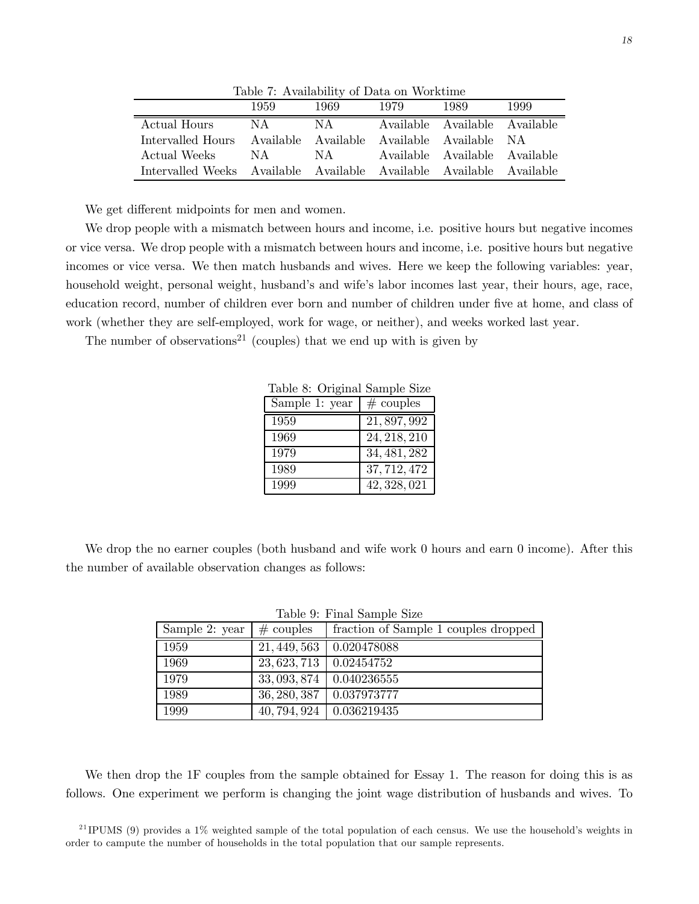| Lable 1. Availability of Data on Workunne                           |      |       |      |                               |      |
|---------------------------------------------------------------------|------|-------|------|-------------------------------|------|
|                                                                     | 1959 | 1969. | 1979 | 1989                          | 1999 |
| Actual Hours                                                        | N A  | NA    |      | Available Available Available |      |
| Intervalled Hours Available Available Available Available NA        |      |       |      |                               |      |
| Actual Weeks                                                        | N A  | NA    |      | Available Available Available |      |
| Intervalled Weeks Available Available Available Available Available |      |       |      |                               |      |

Table 7: Availability of Data on Worktime

We get different midpoints for men and women.

We drop people with a mismatch between hours and income, i.e. positive hours but negative incomes or vice versa. We drop people with a mismatch between hours and income, i.e. positive hours but negative incomes or vice versa. We then match husbands and wives. Here we keep the following variables: year, household weight, personal weight, husband's and wife's labor incomes last year, their hours, age, race, education record, number of children ever born and number of children under five at home, and class of work (whether they are self-employed, work for wage, or neither), and weeks worked last year.

The number of observations<sup>21</sup> (couples) that we end up with is given by

| Sample 1: year | $#$ couples  |
|----------------|--------------|
| 1959           | 21, 897, 992 |
| 1969           | 24, 218, 210 |
| 1979           | 34, 481, 282 |
| 1989           | 37, 712, 472 |
| 1999           | 42, 328, 021 |

Table 8: Original Sample Size

We drop the no earner couples (both husband and wife work 0 hours and earn 0 income). After this the number of available observation changes as follows:

| rapio <i>b</i> . I mai bampio bizo |              |                                      |  |  |  |
|------------------------------------|--------------|--------------------------------------|--|--|--|
| Sample 2: year                     | $#$ couples  | fraction of Sample 1 couples dropped |  |  |  |
| 1959                               | 21, 449, 563 | 0.020478088                          |  |  |  |
| 1969                               | 23, 623, 713 | 0.02454752                           |  |  |  |
| 1979                               | 33, 093, 874 | 0.040236555                          |  |  |  |
| 1989                               | 36, 280, 387 | 0.037973777                          |  |  |  |
| 1999                               | 40, 794, 924 | 0.036219435                          |  |  |  |

Table 9: Final Sample Size

We then drop the 1F couples from the sample obtained for Essay 1. The reason for doing this is as follows. One experiment we perform is changing the joint wage distribution of husbands and wives. To

<sup>21</sup> IPUMS (9) provides a 1% weighted sample of the total population of each census. We use the household's weights in order to campute the number of households in the total population that our sample represents.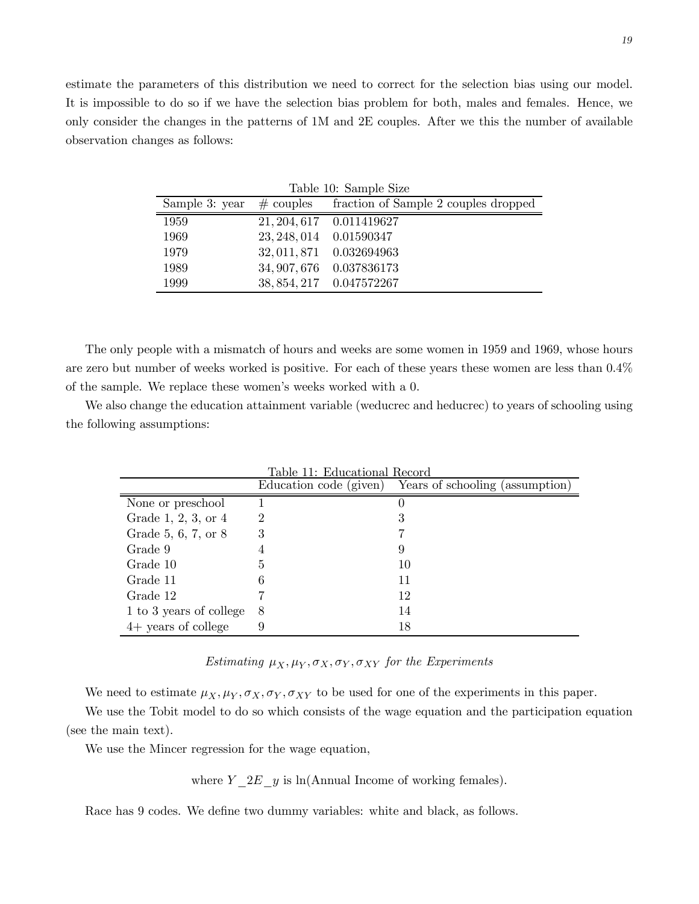estimate the parameters of this distribution we need to correct for the selection bias using our model. It is impossible to do so if we have the selection bias problem for both, males and females. Hence, we only consider the changes in the patterns of 1M and 2E couples. After we this the number of available observation changes as follows:

| Table 10: Sample Size |                         |                                      |  |  |
|-----------------------|-------------------------|--------------------------------------|--|--|
| Sample 3: year        | $\#$ couples            | fraction of Sample 2 couples dropped |  |  |
| 1959                  |                         | 21, 204, 617 0.011419627             |  |  |
| 1969                  | 23, 248, 014 0.01590347 |                                      |  |  |
| 1979                  |                         | 32, 011, 871  0.032694963            |  |  |
| 1989                  |                         | 34, 907, 676 0.037836173             |  |  |
| 1999                  |                         | 38, 854, 217 0.047572267             |  |  |

The only people with a mismatch of hours and weeks are some women in 1959 and 1969, whose hours are zero but number of weeks worked is positive. For each of these years these women are less than 0.4% of the sample. We replace these women's weeks worked with a 0.

We also change the education attainment variable (weducrec and heducrec) to years of schooling using the following assumptions:

|                         | Table 11: Educational Record |                                                        |  |  |  |
|-------------------------|------------------------------|--------------------------------------------------------|--|--|--|
|                         |                              | Education code (given) Years of schooling (assumption) |  |  |  |
| None or preschool       |                              |                                                        |  |  |  |
| Grade 1, 2, 3, or $4$   | 2                            | 3                                                      |  |  |  |
| Grade 5, 6, 7, or 8     | 3                            |                                                        |  |  |  |
| Grade 9                 | 4                            |                                                        |  |  |  |
| Grade 10                | 5                            | 10                                                     |  |  |  |
| Grade 11                |                              | 11                                                     |  |  |  |
| Grade 12                |                              | 12                                                     |  |  |  |
| 1 to 3 years of college | 8                            | 14                                                     |  |  |  |
| $4+$ years of college   |                              | 18                                                     |  |  |  |

# Estimating  $\mu_X, \mu_Y, \sigma_X, \sigma_Y, \sigma_{XY}$  for the Experiments

We need to estimate  $\mu_X, \mu_Y, \sigma_X, \sigma_Y, \sigma_{XY}$  to be used for one of the experiments in this paper.

We use the Tobit model to do so which consists of the wage equation and the participation equation (see the main text).

We use the Mincer regression for the wage equation,

where  $Y_2E_y$  is ln(Annual Income of working females).

Race has 9 codes. We define two dummy variables: white and black, as follows.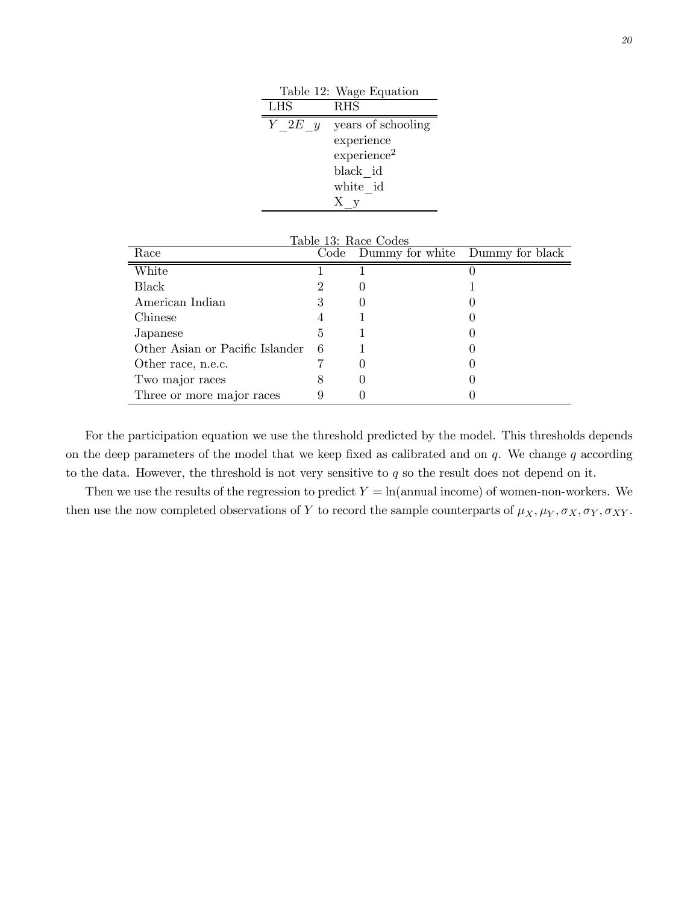|            | Table 12: Wage Equation |
|------------|-------------------------|
| <b>LHS</b> | <b>RHS</b>              |
| $Y$ 2E $y$ | years of schooling      |
|            | experience              |
|            | experience <sup>2</sup> |
|            | black id                |
|            | white id                |
|            | Ху                      |

| Table 13: Race Codes            |      |                                 |  |  |  |
|---------------------------------|------|---------------------------------|--|--|--|
| Race                            | Code | Dummy for white Dummy for black |  |  |  |
| White                           |      |                                 |  |  |  |
| Black                           |      |                                 |  |  |  |
| American Indian                 | 3    |                                 |  |  |  |
| Chinese                         |      |                                 |  |  |  |
| Japanese                        | 5    |                                 |  |  |  |
| Other Asian or Pacific Islander | 6    |                                 |  |  |  |
| Other race, n.e.c.              |      |                                 |  |  |  |
| Two major races                 | x    |                                 |  |  |  |
| Three or more major races       |      |                                 |  |  |  |

For the participation equation we use the threshold predicted by the model. This thresholds depends on the deep parameters of the model that we keep fixed as calibrated and on  $q$ . We change q according to the data. However, the threshold is not very sensitive to  $q$  so the result does not depend on it.

Then we use the results of the regression to predict  $Y = \ln(\text{annual income})$  of women-non-workers. We then use the now completed observations of Y to record the sample counterparts of  $\mu_X, \mu_Y, \sigma_X, \sigma_Y, \sigma_{XY}$ .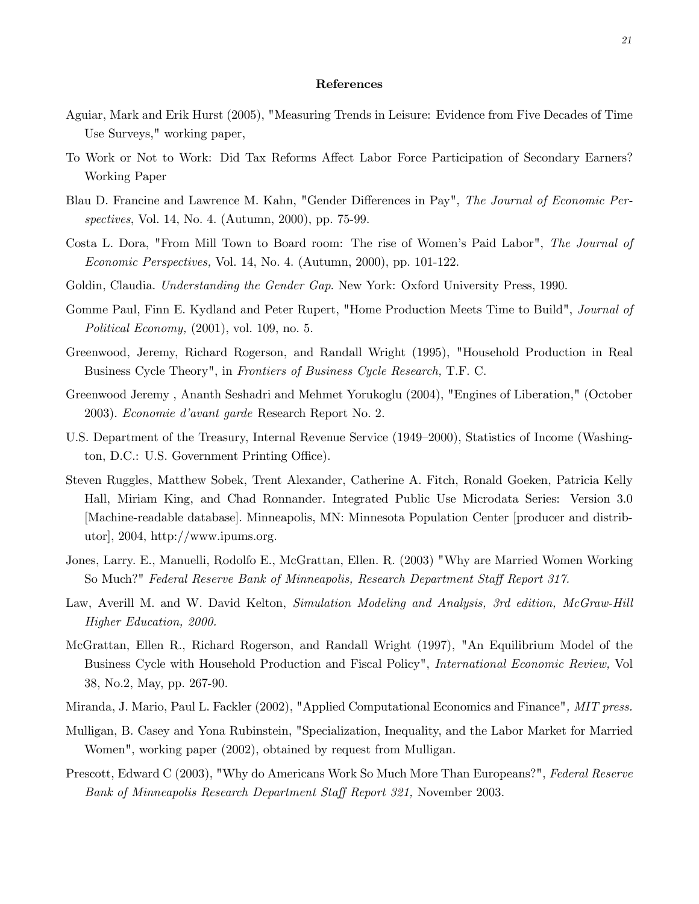#### References

- Aguiar, Mark and Erik Hurst (2005), "Measuring Trends in Leisure: Evidence from Five Decades of Time Use Surveys," working paper,
- To Work or Not to Work: Did Tax Reforms Affect Labor Force Participation of Secondary Earners? Working Paper
- Blau D. Francine and Lawrence M. Kahn, "Gender Differences in Pay", The Journal of Economic Perspectives, Vol. 14, No. 4. (Autumn, 2000), pp. 75-99.
- Costa L. Dora, "From Mill Town to Board room: The rise of Women's Paid Labor", The Journal of Economic Perspectives, Vol. 14, No. 4. (Autumn, 2000), pp. 101-122.
- Goldin, Claudia. Understanding the Gender Gap. New York: Oxford University Press, 1990.
- Gomme Paul, Finn E. Kydland and Peter Rupert, "Home Production Meets Time to Build", Journal of Political Economy, (2001), vol. 109, no. 5.
- Greenwood, Jeremy, Richard Rogerson, and Randall Wright (1995), "Household Production in Real Business Cycle Theory", in Frontiers of Business Cycle Research, T.F. C.
- Greenwood Jeremy , Ananth Seshadri and Mehmet Yorukoglu (2004), "Engines of Liberation," (October 2003). Economie d'avant garde Research Report No. 2.
- U.S. Department of the Treasury, Internal Revenue Service (1949—2000), Statistics of Income (Washington, D.C.: U.S. Government Printing Office).
- Steven Ruggles, Matthew Sobek, Trent Alexander, Catherine A. Fitch, Ronald Goeken, Patricia Kelly Hall, Miriam King, and Chad Ronnander. Integrated Public Use Microdata Series: Version 3.0 [Machine-readable database]. Minneapolis, MN: Minnesota Population Center [producer and distributor], 2004, http://www.ipums.org.
- Jones, Larry. E., Manuelli, Rodolfo E., McGrattan, Ellen. R. (2003) "Why are Married Women Working So Much?" Federal Reserve Bank of Minneapolis, Research Department Staff Report 317.
- Law, Averill M. and W. David Kelton, Simulation Modeling and Analysis, 3rd edition, McGraw-Hill Higher Education, 2000.
- McGrattan, Ellen R., Richard Rogerson, and Randall Wright (1997), "An Equilibrium Model of the Business Cycle with Household Production and Fiscal Policy", International Economic Review, Vol 38, No.2, May, pp. 267-90.
- Miranda, J. Mario, Paul L. Fackler (2002), "Applied Computational Economics and Finance", MIT press.
- Mulligan, B. Casey and Yona Rubinstein, "Specialization, Inequality, and the Labor Market for Married Women", working paper (2002), obtained by request from Mulligan.
- Prescott, Edward C (2003), "Why do Americans Work So Much More Than Europeans?", Federal Reserve Bank of Minneapolis Research Department Staff Report 321, November 2003.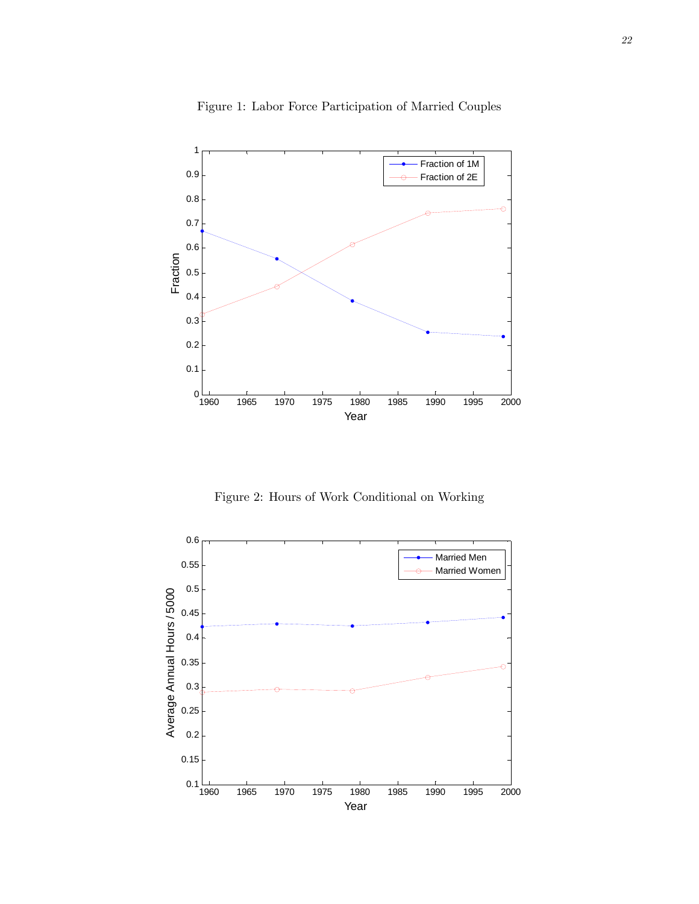

Figure 1: Labor Force Participation of Married Couples

Figure 2: Hours of Work Conditional on Working

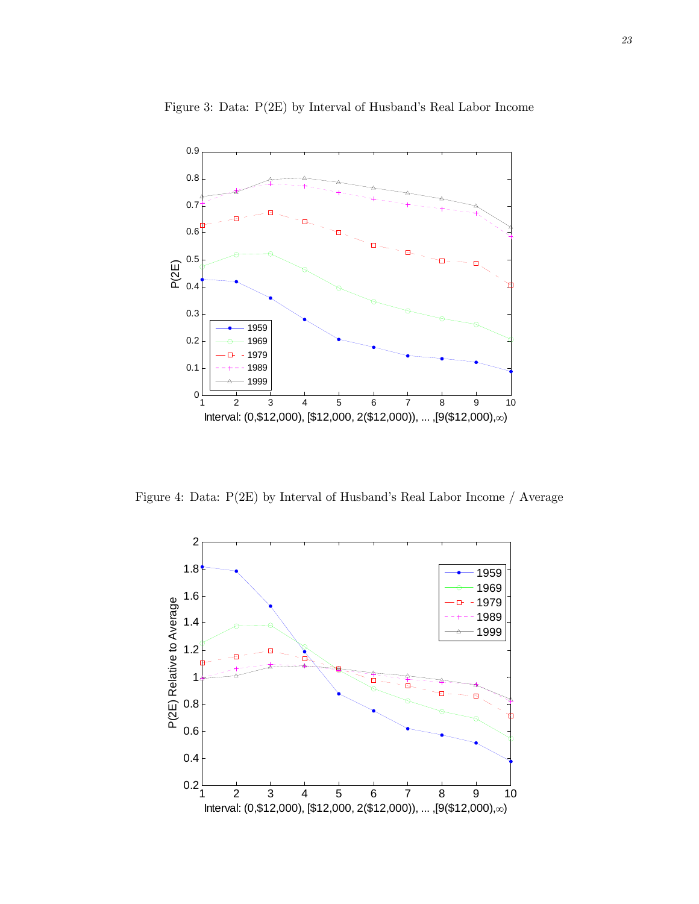

Figure 3: Data: P(2E) by Interval of Husband's Real Labor Income

Figure 4: Data: P(2E) by Interval of Husband's Real Labor Income / Average

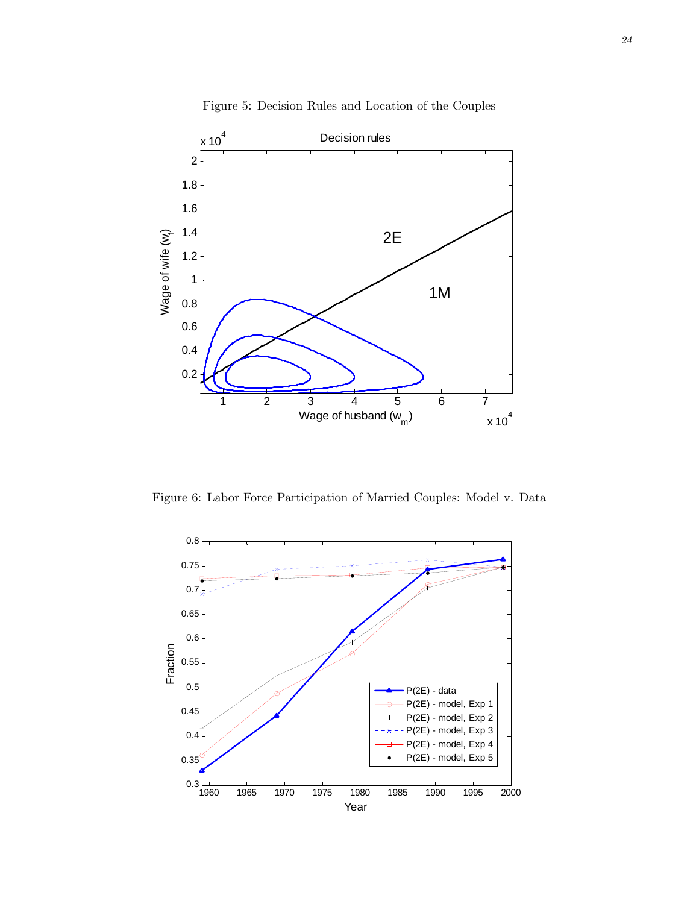

Figure 5: Decision Rules and Location of the Couples

Figure 6: Labor Force Participation of Married Couples: Model v. Data

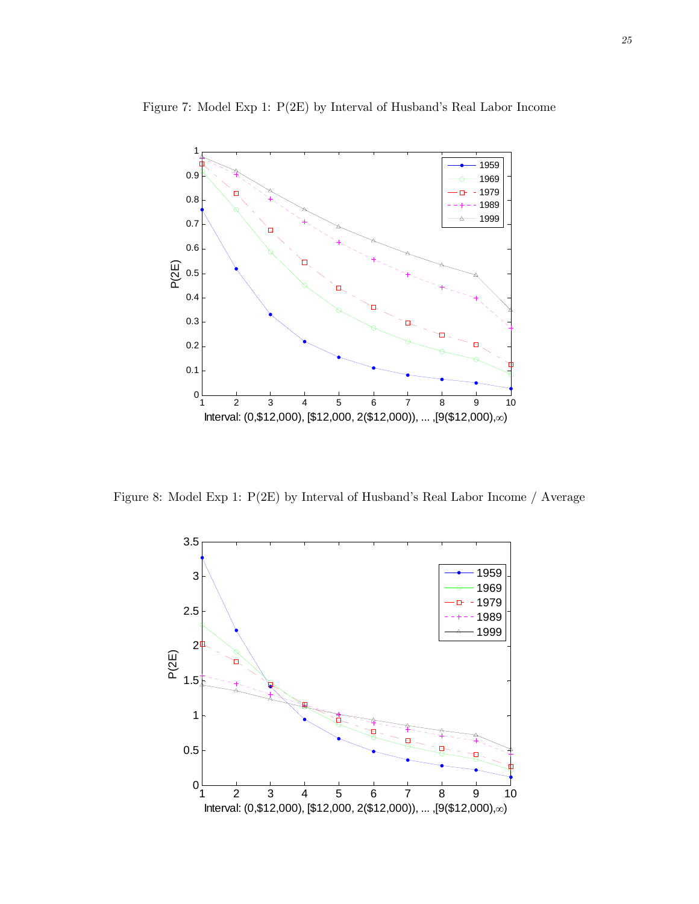

Figure 7: Model Exp 1: P(2E) by Interval of Husband's Real Labor Income

Figure 8: Model Exp 1: P(2E) by Interval of Husband's Real Labor Income / Average

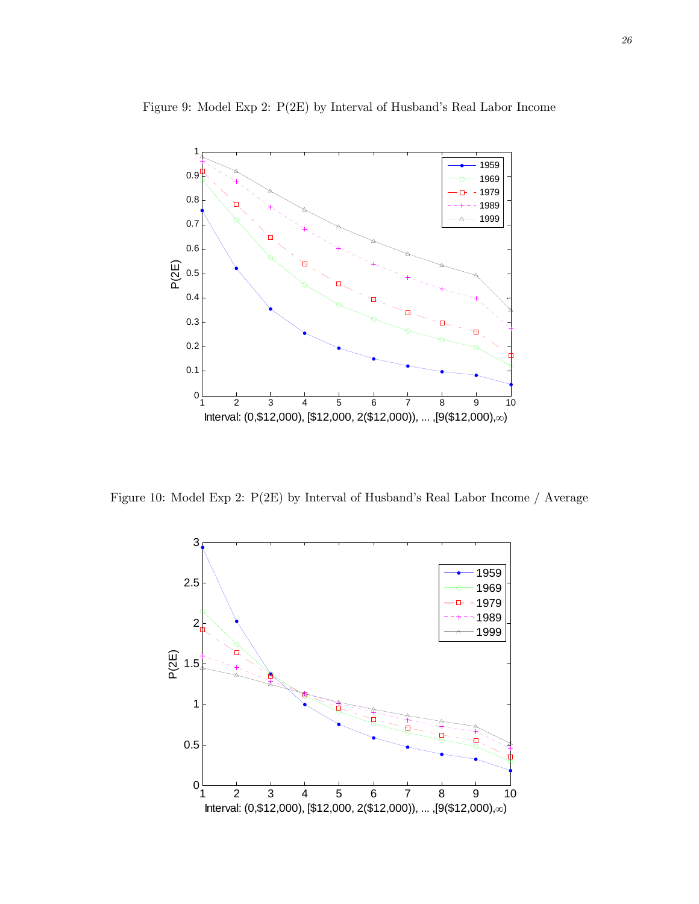

Figure 9: Model Exp 2: P(2E) by Interval of Husband's Real Labor Income

Figure 10: Model Exp 2: P(2E) by Interval of Husband's Real Labor Income / Average

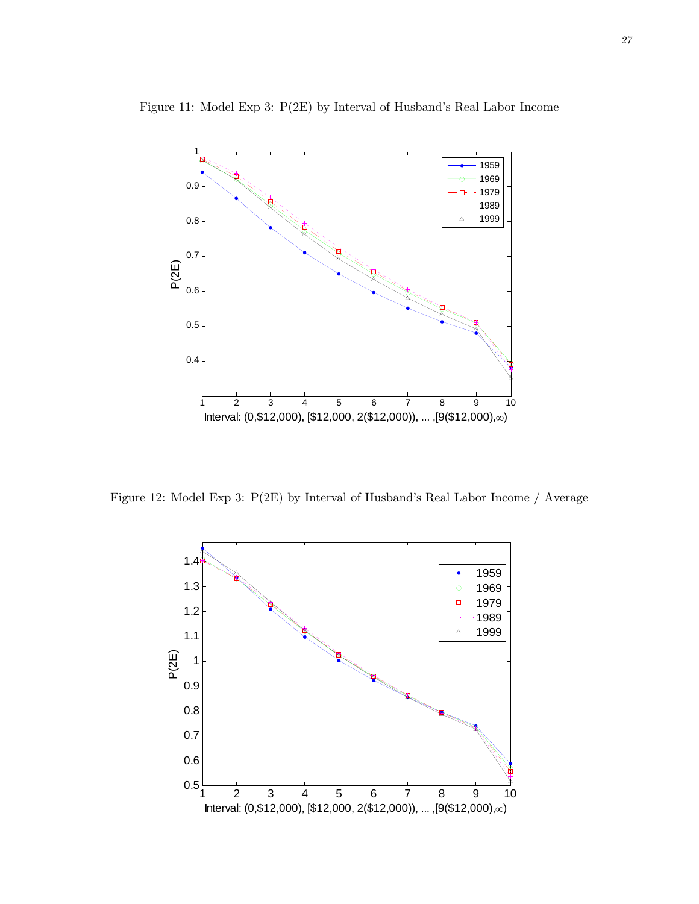

Figure 11: Model Exp 3: P(2E) by Interval of Husband's Real Labor Income

Figure 12: Model Exp 3: P(2E) by Interval of Husband's Real Labor Income / Average

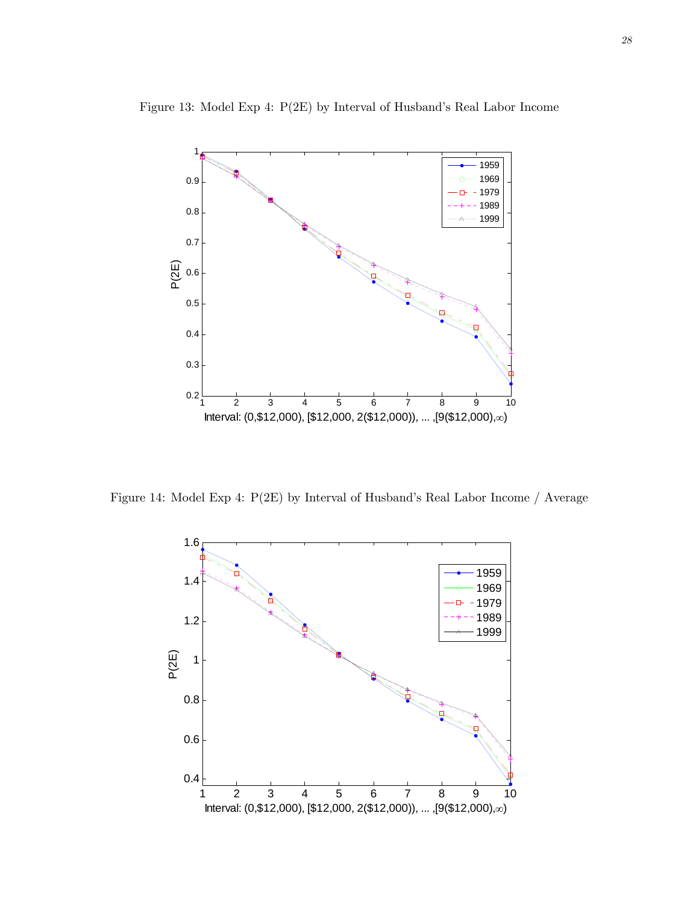

Figure 13: Model Exp 4: P(2E) by Interval of Husband's Real Labor Income

Figure 14: Model Exp 4: P(2E) by Interval of Husband's Real Labor Income / Average

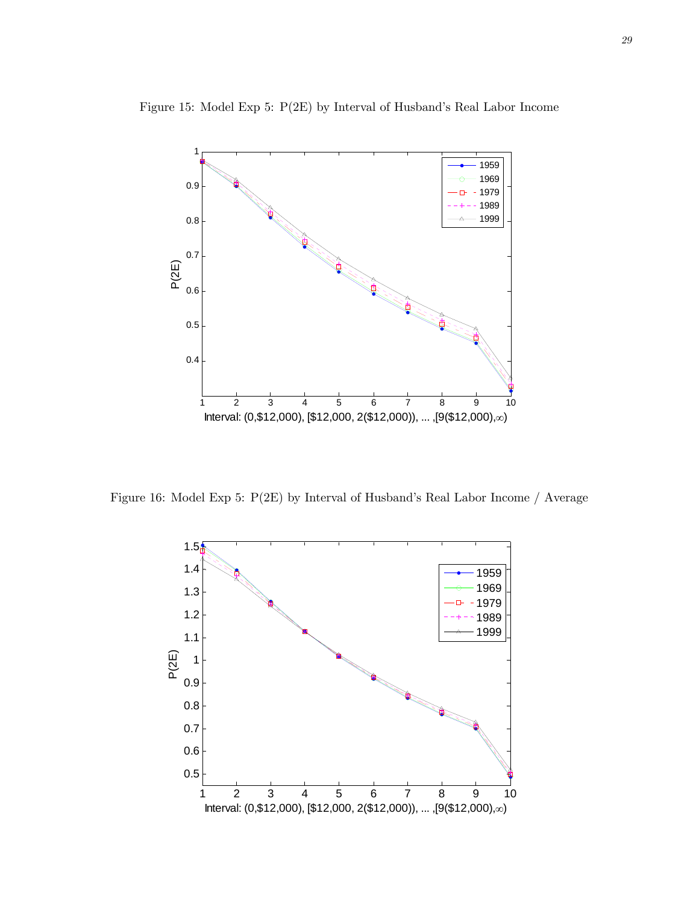

Figure 15: Model Exp 5: P(2E) by Interval of Husband's Real Labor Income

Figure 16: Model Exp 5: P(2E) by Interval of Husband's Real Labor Income / Average

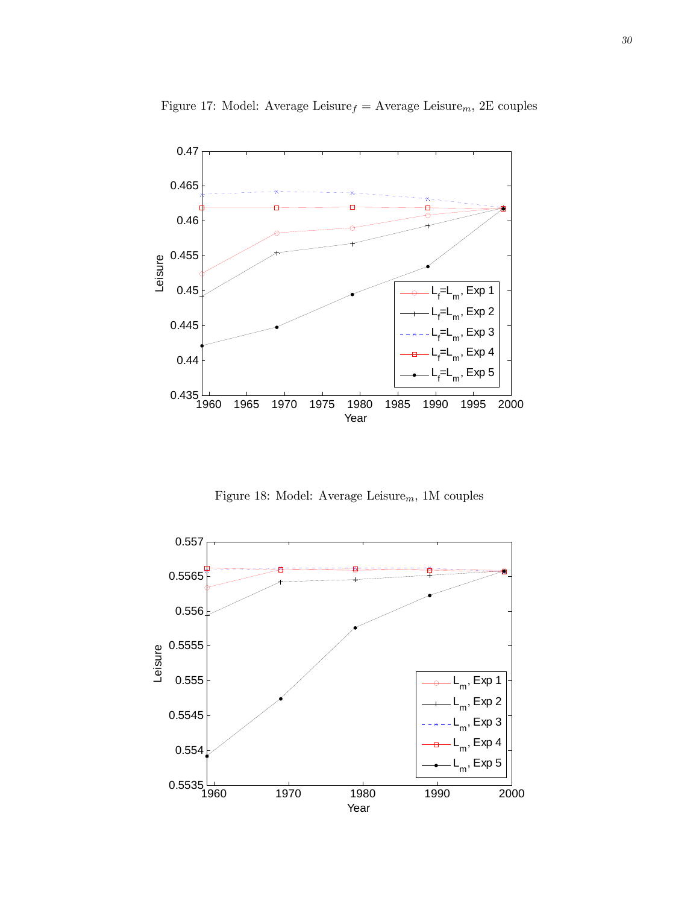

Figure 17: Model: Average Leisure $_f =$  Average Leisure $_m$ , 2E couples

Figure 18: Model: Average Leisure $_m$ , 1M couples

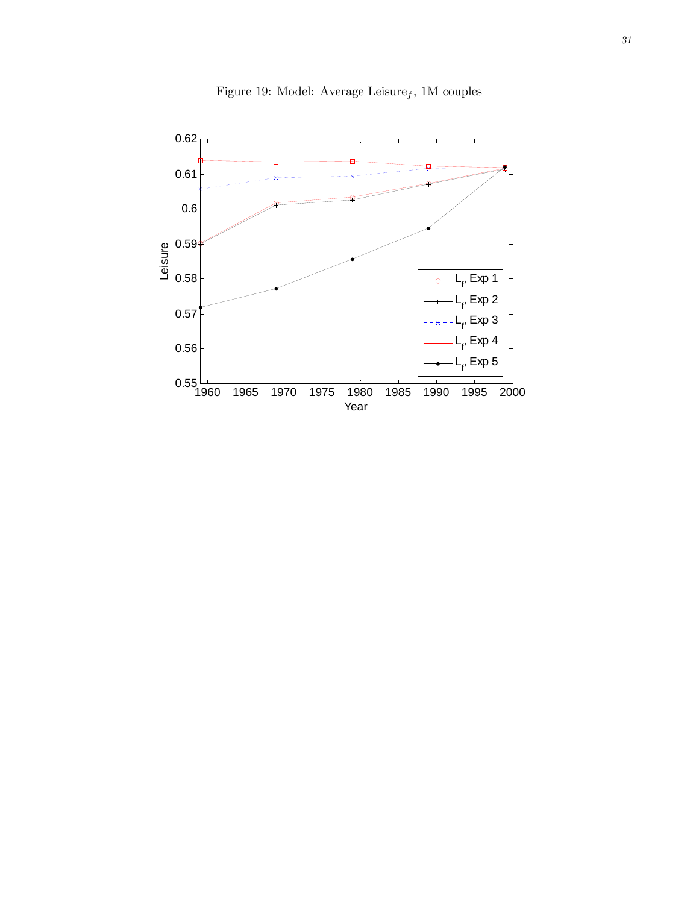

Figure 19: Model: Average Leisure $_f,$  1M couples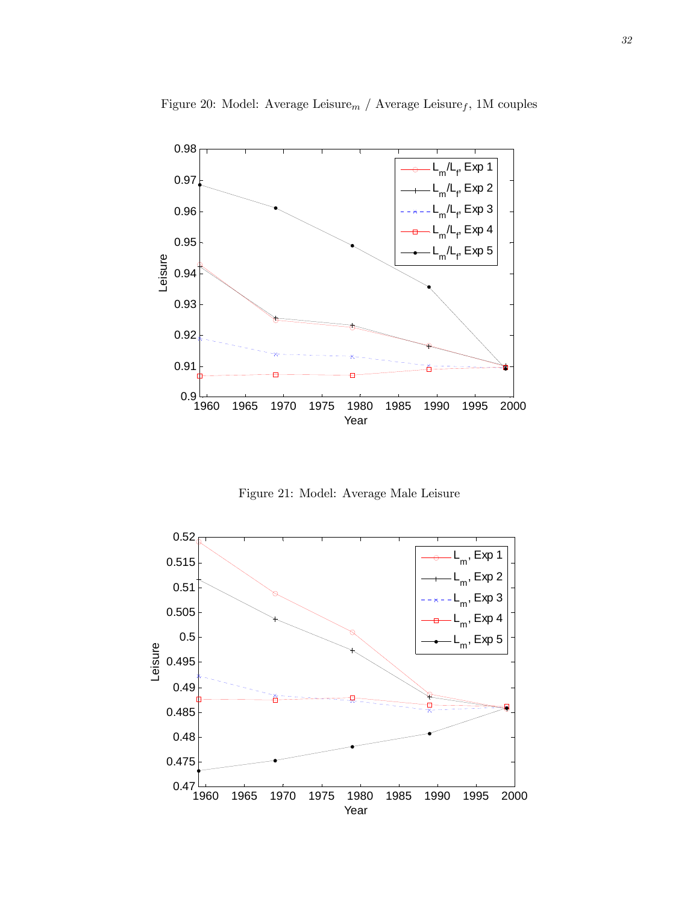

Figure 20: Model: Average Leisure $_m$  / Average Leisure $_f$ , 1M couples

Figure 21: Model: Average Male Leisure